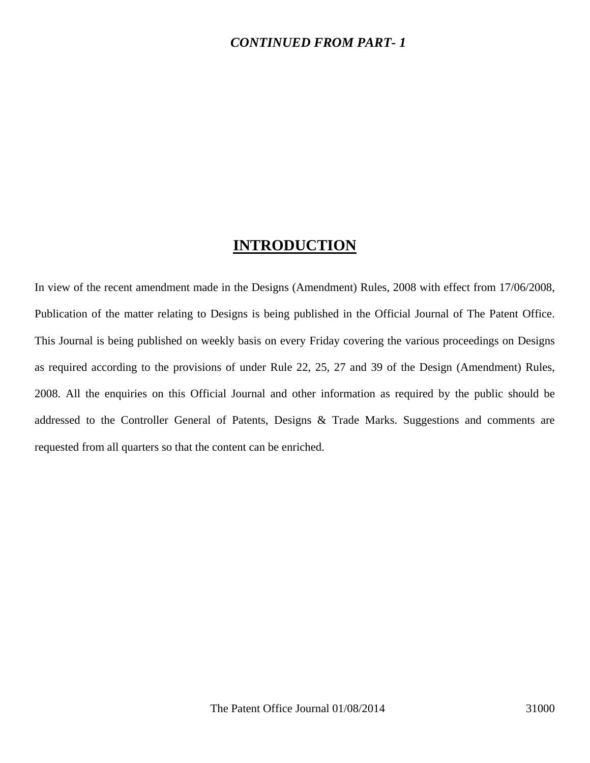#### *CONTINUED FROM PART- 1*

### **INTRODUCTION**

In view of the recent amendment made in the Designs (Amendment) Rules, 2008 with effect from 17/06/2008, Publication of the matter relating to Designs is being published in the Official Journal of The Patent Office. This Journal is being published on weekly basis on every Friday covering the various proceedings on Designs as required according to the provisions of under Rule 22, 25, 27 and 39 of the Design (Amendment) Rules, 2008. All the enquiries on this Official Journal and other information as required by the public should be addressed to the Controller General of Patents, Designs & Trade Marks. Suggestions and comments are requested from all quarters so that the content can be enriched.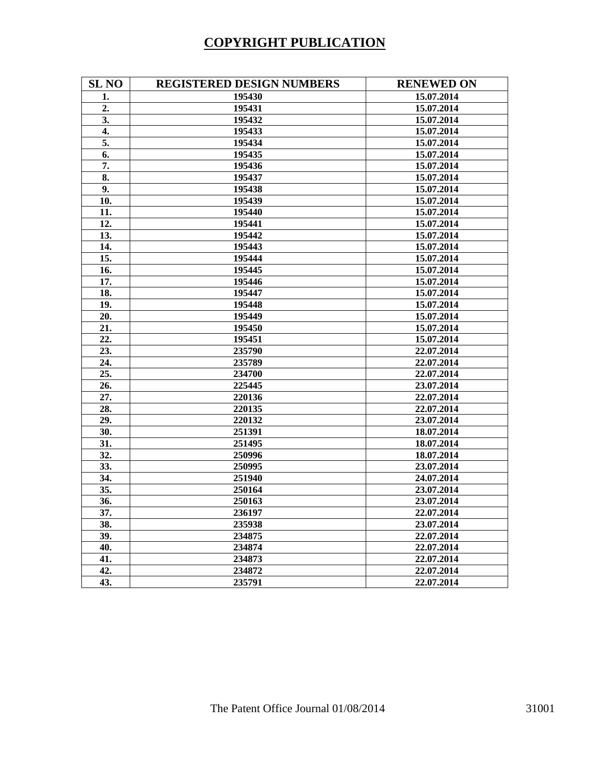# **COPYRIGHT PUBLICATION**

| <b>SL NO</b> | <b>REGISTERED DESIGN NUMBERS</b> | <b>RENEWED ON</b> |
|--------------|----------------------------------|-------------------|
| 1.           | 195430                           | 15.07.2014        |
| 2.           | 195431                           | 15.07.2014        |
| 3.           | 195432                           | 15.07.2014        |
| 4.           | 195433                           | 15.07.2014        |
| 5.           | 195434                           | 15.07.2014        |
| 6.           | 195435                           | 15.07.2014        |
| 7.           | 195436                           | 15.07.2014        |
| 8.           | 195437                           | 15.07.2014        |
| 9.           | 195438                           | 15.07.2014        |
| 10.          | 195439                           | 15.07.2014        |
| 11.          | 195440                           | 15.07.2014        |
| 12.          | 195441                           | 15.07.2014        |
| 13.          | 195442                           | 15.07.2014        |
| 14.          | 195443                           | 15.07.2014        |
| 15.          | 195444                           | 15.07.2014        |
| 16.          | 195445                           | 15.07.2014        |
| 17.          | 195446                           | 15.07.2014        |
| 18.          | 195447                           | 15.07.2014        |
| 19.          | 195448                           | 15.07.2014        |
| 20.          | 195449                           | 15.07.2014        |
| 21.          | 195450                           | 15.07.2014        |
| 22.          | 195451                           | 15.07.2014        |
| 23.          | 235790                           | 22.07.2014        |
| 24.          | 235789                           | 22.07.2014        |
| 25.          | 234700                           | 22.07.2014        |
| 26.          | 225445                           | 23.07.2014        |
| 27.          | 220136                           | 22.07.2014        |
| 28.          | 220135                           | 22.07.2014        |
| 29.          | 220132                           | 23.07.2014        |
| 30.          | 251391                           | 18.07.2014        |
| 31.          | 251495                           | 18.07.2014        |
| 32.          | 250996                           | 18.07.2014        |
| 33.          | 250995                           | 23.07.2014        |
| 34.          | 251940                           | 24.07.2014        |
| 35.          | 250164                           | 23.07.2014        |
| 36.          | 250163                           | 23.07.2014        |
| 37.          | 236197                           | 22.07.2014        |
| 38.          | 235938                           | 23.07.2014        |
| 39.          | 234875                           | 22.07.2014        |
| 40.          | 234874                           | 22.07.2014        |
| 41.          | 234873                           | 22.07.2014        |
| 42.          | 234872                           | 22.07.2014        |
| 43.          | 235791                           | 22.07.2014        |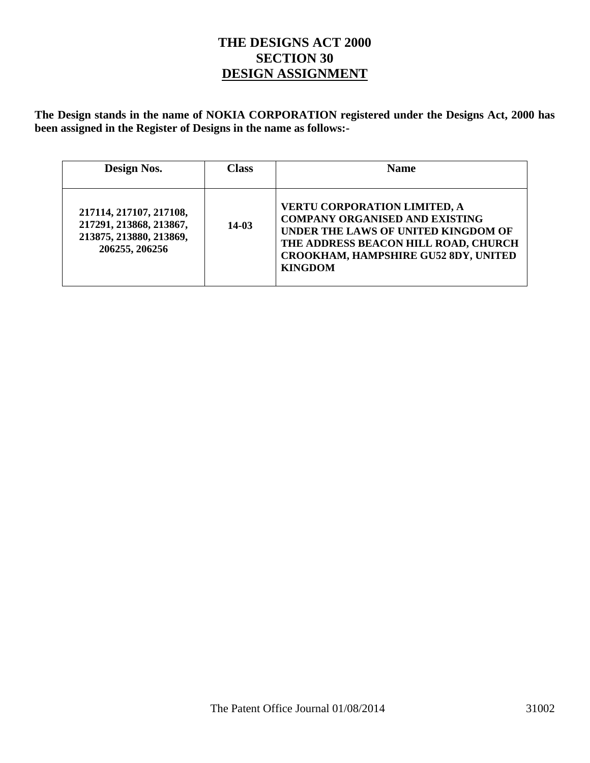#### **THE DESIGNS ACT 2000 SECTION 30 DESIGN ASSIGNMENT**

**The Design stands in the name of NOKIA CORPORATION registered under the Designs Act, 2000 has been assigned in the Register of Designs in the name as follows:-** 

| Design Nos.                                                                                     | <b>Class</b> | <b>Name</b>                                                                                                                                                                                                                  |
|-------------------------------------------------------------------------------------------------|--------------|------------------------------------------------------------------------------------------------------------------------------------------------------------------------------------------------------------------------------|
| 217114, 217107, 217108,<br>217291, 213868, 213867,<br>213875, 213880, 213869,<br>206255, 206256 | $14-03$      | <b>VERTU CORPORATION LIMITED, A</b><br><b>COMPANY ORGANISED AND EXISTING</b><br>UNDER THE LAWS OF UNITED KINGDOM OF<br>THE ADDRESS BEACON HILL ROAD, CHURCH<br><b>CROOKHAM, HAMPSHIRE GU52 8DY, UNITED</b><br><b>KINGDOM</b> |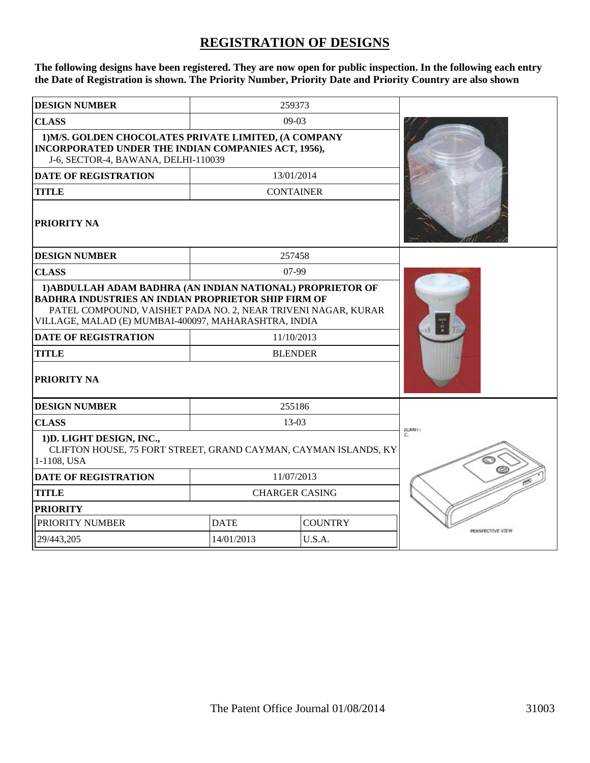# **REGISTRATION OF DESIGNS**

**The following designs have been registered. They are now open for public inspection. In the following each entry the Date of Registration is shown. The Priority Number, Priority Date and Priority Country are also shown**

| <b>DESIGN NUMBER</b>                                                                                                                                                                                                                                                                                            |                       | 259373                       |                  |
|-----------------------------------------------------------------------------------------------------------------------------------------------------------------------------------------------------------------------------------------------------------------------------------------------------------------|-----------------------|------------------------------|------------------|
| <b>CLASS</b>                                                                                                                                                                                                                                                                                                    |                       | $09-03$                      |                  |
| 1) M/S. GOLDEN CHOCOLATES PRIVATE LIMITED, (A COMPANY<br>INCORPORATED UNDER THE INDIAN COMPANIES ACT, 1956),<br>J-6, SECTOR-4, BAWANA, DELHI-110039                                                                                                                                                             |                       |                              |                  |
| <b>DATE OF REGISTRATION</b>                                                                                                                                                                                                                                                                                     |                       | 13/01/2014                   |                  |
| <b>TITLE</b>                                                                                                                                                                                                                                                                                                    |                       | <b>CONTAINER</b>             |                  |
| PRIORITY NA                                                                                                                                                                                                                                                                                                     |                       |                              |                  |
| <b>DESIGN NUMBER</b>                                                                                                                                                                                                                                                                                            |                       | 257458                       |                  |
| <b>CLASS</b>                                                                                                                                                                                                                                                                                                    |                       | $07-99$                      |                  |
| 1) ABDULLAH ADAM BADHRA (AN INDIAN NATIONAL) PROPRIETOR OF<br><b>BADHRA INDUSTRIES AN INDIAN PROPRIETOR SHIP FIRM OF</b><br>PATEL COMPOUND, VAISHET PADA NO. 2, NEAR TRIVENI NAGAR, KURAR<br>VILLAGE, MALAD (E) MUMBAI-400097, MAHARASHTRA, INDIA<br><b>DATE OF REGISTRATION</b><br><b>TITLE</b><br>PRIORITY NA |                       | 11/10/2013<br><b>BLENDER</b> |                  |
| <b>DESIGN NUMBER</b>                                                                                                                                                                                                                                                                                            |                       | 255186                       |                  |
| <b>CLASS</b><br>1) D. LIGHT DESIGN, INC.,<br>CLIFTON HOUSE, 75 FORT STREET, GRAND CAYMAN, CAYMAN ISLANDS, KY<br>1-1108, USA                                                                                                                                                                                     |                       | 13-03                        | <b>ICANI:</b>    |
| <b>DATE OF REGISTRATION</b>                                                                                                                                                                                                                                                                                     | 11/07/2013            |                              |                  |
| <b>TITLE</b>                                                                                                                                                                                                                                                                                                    | <b>CHARGER CASING</b> |                              |                  |
| <b>PRIORITY</b>                                                                                                                                                                                                                                                                                                 |                       |                              |                  |
| PRIORITY NUMBER                                                                                                                                                                                                                                                                                                 | <b>DATE</b>           | <b>COUNTRY</b>               | PERSPECTIVE VIEW |
| 29/443,205                                                                                                                                                                                                                                                                                                      | 14/01/2013            | U.S.A.                       |                  |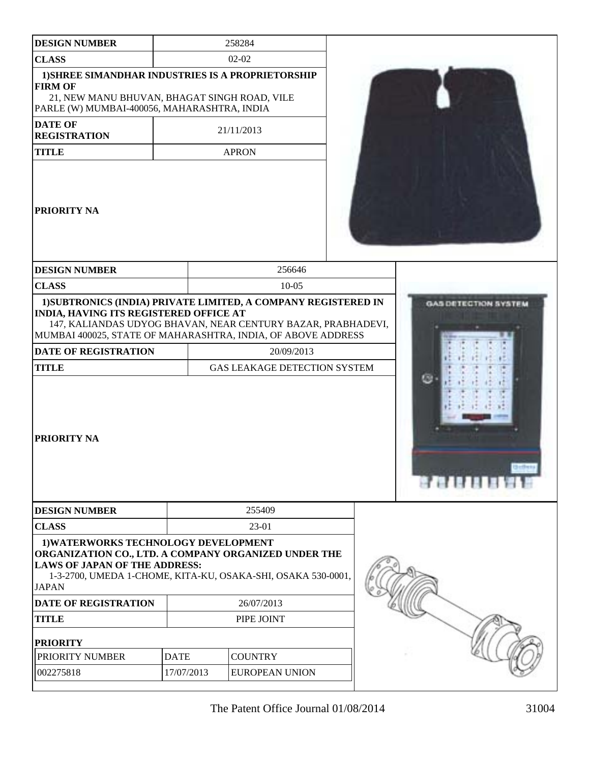| <b>DESIGN NUMBER</b>                                                                                                                                                                                                   |             | 258284                                                                                   |  |
|------------------------------------------------------------------------------------------------------------------------------------------------------------------------------------------------------------------------|-------------|------------------------------------------------------------------------------------------|--|
| <b>CLASS</b>                                                                                                                                                                                                           |             | $02-02$                                                                                  |  |
| 1) SHREE SIMANDHAR INDUSTRIES IS A PROPRIETORSHIP<br><b>FIRM OF</b><br>21, NEW MANU BHUVAN, BHAGAT SINGH ROAD, VILE<br>PARLE (W) MUMBAI-400056, MAHARASHTRA, INDIA                                                     |             |                                                                                          |  |
| <b>DATE OF</b><br><b>REGISTRATION</b>                                                                                                                                                                                  |             | 21/11/2013                                                                               |  |
| <b>TITLE</b>                                                                                                                                                                                                           |             | <b>APRON</b>                                                                             |  |
| <b>PRIORITY NA</b>                                                                                                                                                                                                     |             |                                                                                          |  |
| <b>DESIGN NUMBER</b>                                                                                                                                                                                                   |             | 256646                                                                                   |  |
| <b>CLASS</b>                                                                                                                                                                                                           |             | $10 - 05$                                                                                |  |
| MUMBAI 400025, STATE OF MAHARASHTRA, INDIA, OF ABOVE ADDRESS<br><b>DATE OF REGISTRATION</b><br><b>TITLE</b><br>PRIORITY NA                                                                                             |             | 20/09/2013<br>GAS LEAKAGE DETECTION SYSTEM                                               |  |
| <b>DESIGN NUMBER</b>                                                                                                                                                                                                   |             | 255409                                                                                   |  |
| <b>CLASS</b>                                                                                                                                                                                                           |             | 23-01                                                                                    |  |
| 1) WATERWORKS TECHNOLOGY DEVELOPMENT<br>ORGANIZATION CO., LTD. A COMPANY ORGANIZED UNDER THE<br><b>LAWS OF JAPAN OF THE ADDRESS:</b><br><b>JAPAN</b><br><b>DATE OF REGISTRATION</b><br><b>TITLE</b><br><b>PRIORITY</b> |             | 1-3-2700, UMEDA 1-CHOME, KITA-KU, OSAKA-SHI, OSAKA 530-0001,<br>26/07/2013<br>PIPE JOINT |  |
| PRIORITY NUMBER                                                                                                                                                                                                        | <b>DATE</b> | <b>COUNTRY</b>                                                                           |  |
| 002275818                                                                                                                                                                                                              | 17/07/2013  | <b>EUROPEAN UNION</b>                                                                    |  |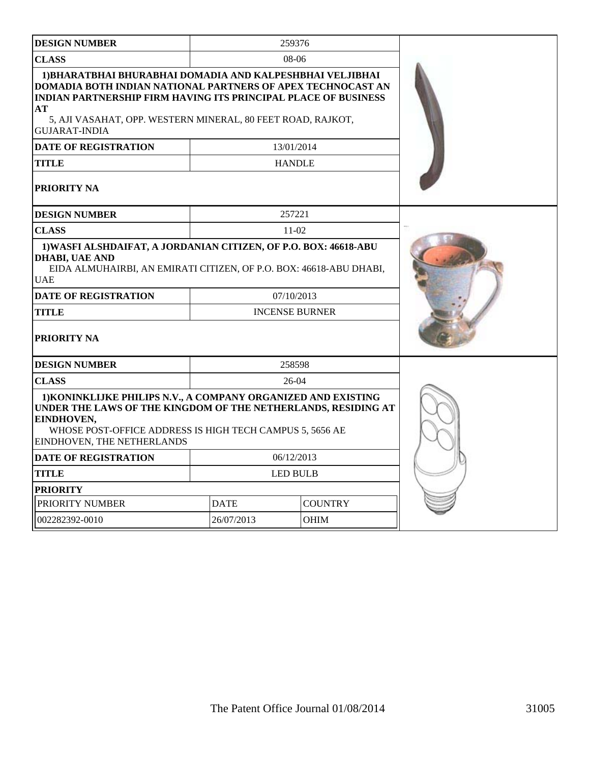| <b>DESIGN NUMBER</b>                                                                                                                                                                                                                                                                    |                 | 259376                |  |
|-----------------------------------------------------------------------------------------------------------------------------------------------------------------------------------------------------------------------------------------------------------------------------------------|-----------------|-----------------------|--|
| <b>CLASS</b>                                                                                                                                                                                                                                                                            |                 | $08-06$               |  |
| 1) BHARATBHAI BHURABHAI DOMADIA AND KALPESHBHAI VELJIBHAI<br>DOMADIA BOTH INDIAN NATIONAL PARTNERS OF APEX TECHNOCAST AN<br><b>INDIAN PARTNERSHIP FIRM HAVING ITS PRINCIPAL PLACE OF BUSINESS</b><br>АT<br>5, AJI VASAHAT, OPP. WESTERN MINERAL, 80 FEET ROAD, RAJKOT,<br>GUJARAT-INDIA |                 |                       |  |
| <b>DATE OF REGISTRATION</b>                                                                                                                                                                                                                                                             |                 | 13/01/2014            |  |
| TITLE                                                                                                                                                                                                                                                                                   |                 | <b>HANDLE</b>         |  |
| PRIORITY NA                                                                                                                                                                                                                                                                             |                 |                       |  |
| <b>DESIGN NUMBER</b>                                                                                                                                                                                                                                                                    |                 | 257221                |  |
| <b>CLASS</b>                                                                                                                                                                                                                                                                            |                 | $11-02$               |  |
| 1) WASFI ALSHDAIFAT, A JORDANIAN CITIZEN, OF P.O. BOX: 46618-ABU<br><b>DHABI, UAE AND</b><br>EIDA ALMUHAIRBI, AN EMIRATI CITIZEN, OF P.O. BOX: 46618-ABU DHABI,<br><b>UAE</b>                                                                                                           |                 |                       |  |
| <b>DATE OF REGISTRATION</b>                                                                                                                                                                                                                                                             |                 | 07/10/2013            |  |
| <b>TITLE</b>                                                                                                                                                                                                                                                                            |                 | <b>INCENSE BURNER</b> |  |
| <b>PRIORITY NA</b>                                                                                                                                                                                                                                                                      |                 |                       |  |
| <b>DESIGN NUMBER</b>                                                                                                                                                                                                                                                                    |                 | 258598                |  |
| <b>CLASS</b>                                                                                                                                                                                                                                                                            |                 | $26-04$               |  |
| 1) KONINKLIJKE PHILIPS N.V., A COMPANY ORGANIZED AND EXISTING<br>UNDER THE LAWS OF THE KINGDOM OF THE NETHERLANDS, RESIDING AT<br>EINDHOVEN,<br>WHOSE POST-OFFICE ADDRESS IS HIGH TECH CAMPUS 5, 5656 AE<br>EINDHOVEN, THE NETHERLANDS                                                  |                 |                       |  |
| <b>DATE OF REGISTRATION</b>                                                                                                                                                                                                                                                             | 06/12/2013      |                       |  |
| TITLE                                                                                                                                                                                                                                                                                   | <b>LED BULB</b> |                       |  |
| <b>PRIORITY</b>                                                                                                                                                                                                                                                                         |                 |                       |  |
| PRIORITY NUMBER                                                                                                                                                                                                                                                                         | <b>DATE</b>     | <b>COUNTRY</b>        |  |
| 002282392-0010                                                                                                                                                                                                                                                                          | 26/07/2013      | <b>OHIM</b>           |  |
|                                                                                                                                                                                                                                                                                         |                 |                       |  |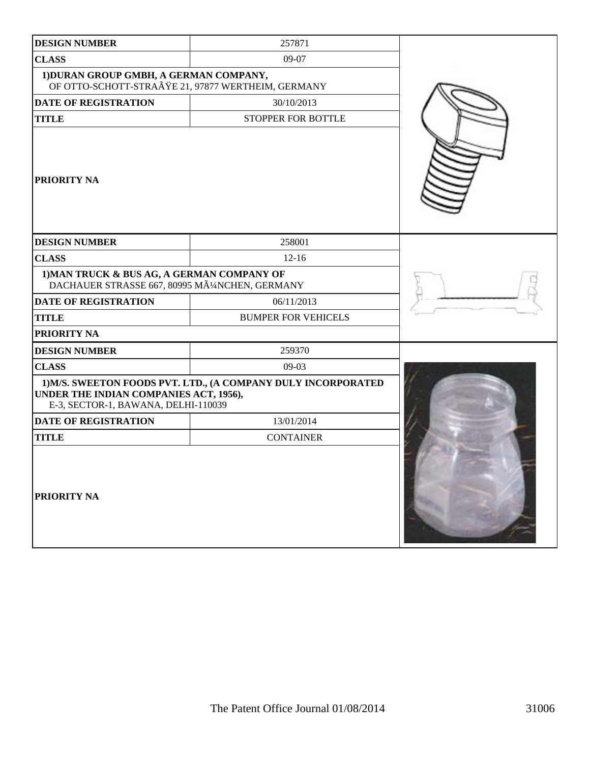| <b>DESIGN NUMBER</b>                                                                       | 257871                                                        |  |
|--------------------------------------------------------------------------------------------|---------------------------------------------------------------|--|
| <b>CLASS</b>                                                                               | 09-07                                                         |  |
| 1) DURAN GROUP GMBH, A GERMAN COMPANY,                                                     | OF OTTO-SCHOTT-STRAßE 21, 97877 WERTHEIM, GERMANY             |  |
| DATE OF REGISTRATION                                                                       | 30/10/2013                                                    |  |
| <b>TITLE</b>                                                                               | STOPPER FOR BOTTLE                                            |  |
| PRIORITY NA                                                                                |                                                               |  |
| <b>DESIGN NUMBER</b>                                                                       | 258001                                                        |  |
| <b>CLASS</b>                                                                               | $12 - 16$                                                     |  |
| 1) MAN TRUCK & BUS AG, A GERMAN COMPANY OF<br>DACHAUER STRASSE 667, 80995 MüNCHEN, GERMANY |                                                               |  |
| <b>DATE OF REGISTRATION</b>                                                                | 06/11/2013                                                    |  |
| <b>TITLE</b>                                                                               | <b>BUMPER FOR VEHICELS</b>                                    |  |
| PRIORITY NA                                                                                |                                                               |  |
| <b>DESIGN NUMBER</b>                                                                       | 259370                                                        |  |
| <b>CLASS</b>                                                                               | $09-03$                                                       |  |
| UNDER THE INDIAN COMPANIES ACT, 1956),<br>E-3, SECTOR-1, BAWANA, DELHI-110039              | 1) M/S. SWEETON FOODS PVT. LTD., (A COMPANY DULY INCORPORATED |  |
| DATE OF REGISTRATION                                                                       | 13/01/2014                                                    |  |
| <b>TITLE</b>                                                                               | <b>CONTAINER</b>                                              |  |
| PRIORITY NA                                                                                |                                                               |  |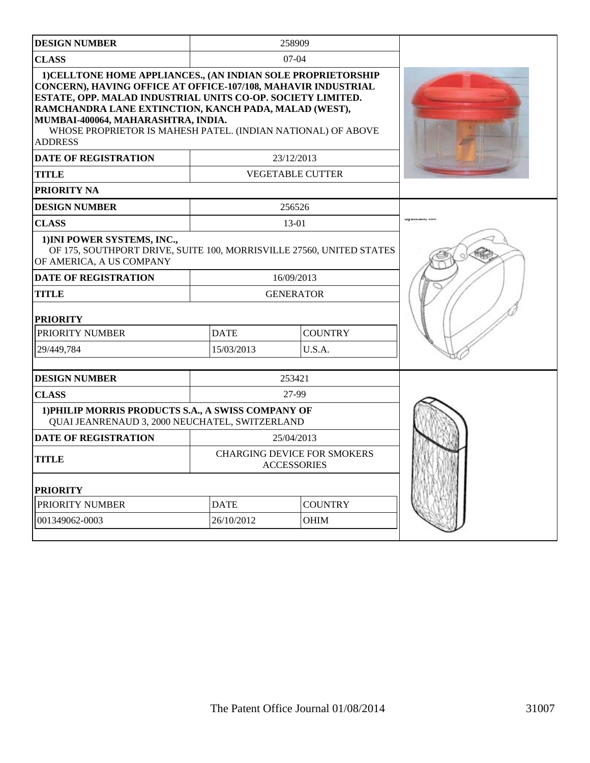| <b>DESIGN NUMBER</b>                                                                                                                                                                                                                                                                                                                                                                 |                                                          | 258909                  |  |
|--------------------------------------------------------------------------------------------------------------------------------------------------------------------------------------------------------------------------------------------------------------------------------------------------------------------------------------------------------------------------------------|----------------------------------------------------------|-------------------------|--|
| <b>CLASS</b>                                                                                                                                                                                                                                                                                                                                                                         | $07-04$                                                  |                         |  |
| 1) CELLTONE HOME APPLIANCES., (AN INDIAN SOLE PROPRIETORSHIP<br><b>CONCERN), HAVING OFFICE AT OFFICE-107/108, MAHAVIR INDUSTRIAL</b><br>ESTATE, OPP. MALAD INDUSTRIAL UNITS CO-OP. SOCIETY LIMITED.<br>RAMCHANDRA LANE EXTINCTION, KANCH PADA, MALAD (WEST),<br>MUMBAI-400064, MAHARASHTRA, INDIA.<br>WHOSE PROPRIETOR IS MAHESH PATEL. (INDIAN NATIONAL) OF ABOVE<br><b>ADDRESS</b> |                                                          |                         |  |
| <b>DATE OF REGISTRATION</b>                                                                                                                                                                                                                                                                                                                                                          |                                                          | 23/12/2013              |  |
| <b>TITLE</b>                                                                                                                                                                                                                                                                                                                                                                         |                                                          | <b>VEGETABLE CUTTER</b> |  |
| <b>PRIORITY NA</b>                                                                                                                                                                                                                                                                                                                                                                   |                                                          |                         |  |
| <b>DESIGN NUMBER</b>                                                                                                                                                                                                                                                                                                                                                                 |                                                          | 256526                  |  |
| <b>CLASS</b>                                                                                                                                                                                                                                                                                                                                                                         |                                                          | 13-01                   |  |
| 1) INI POWER SYSTEMS, INC.,<br>OF 175, SOUTHPORT DRIVE, SUITE 100, MORRISVILLE 27560, UNITED STATES<br>OF AMERICA, A US COMPANY<br><b>DATE OF REGISTRATION</b><br>16/09/2013                                                                                                                                                                                                         |                                                          |                         |  |
| <b>TITLE</b>                                                                                                                                                                                                                                                                                                                                                                         | <b>GENERATOR</b>                                         |                         |  |
| <b>PRIORITY</b>                                                                                                                                                                                                                                                                                                                                                                      |                                                          |                         |  |
| PRIORITY NUMBER                                                                                                                                                                                                                                                                                                                                                                      | <b>DATE</b>                                              | <b>COUNTRY</b>          |  |
| 29/449,784                                                                                                                                                                                                                                                                                                                                                                           | 15/03/2013                                               | U.S.A.                  |  |
| <b>DESIGN NUMBER</b>                                                                                                                                                                                                                                                                                                                                                                 |                                                          | 253421                  |  |
| <b>CLASS</b>                                                                                                                                                                                                                                                                                                                                                                         |                                                          | 27-99                   |  |
| 1) PHILIP MORRIS PRODUCTS S.A., A SWISS COMPANY OF<br>QUAI JEANRENAUD 3, 2000 NEUCHATEL, SWITZERLAND                                                                                                                                                                                                                                                                                 |                                                          |                         |  |
| <b>DATE OF REGISTRATION</b>                                                                                                                                                                                                                                                                                                                                                          |                                                          | 25/04/2013              |  |
| <b>TITLE</b>                                                                                                                                                                                                                                                                                                                                                                         | <b>CHARGING DEVICE FOR SMOKERS</b><br><b>ACCESSORIES</b> |                         |  |
| <b>PRIORITY</b>                                                                                                                                                                                                                                                                                                                                                                      |                                                          |                         |  |
| PRIORITY NUMBER                                                                                                                                                                                                                                                                                                                                                                      | <b>DATE</b>                                              | <b>COUNTRY</b>          |  |
| 001349062-0003                                                                                                                                                                                                                                                                                                                                                                       | 26/10/2012                                               | <b>OHIM</b>             |  |
|                                                                                                                                                                                                                                                                                                                                                                                      |                                                          |                         |  |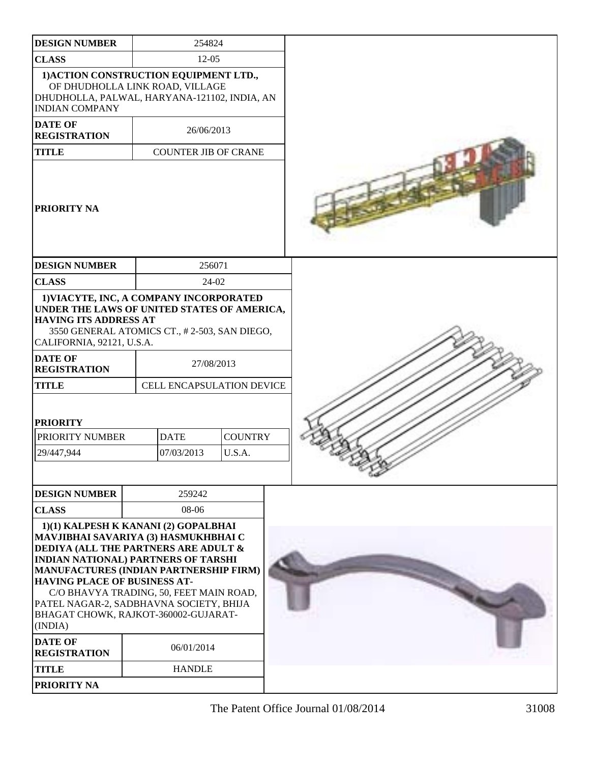| <b>DESIGN NUMBER</b>                                                                    | 254824                                                                                                                                                                                                                                                                                                                                                              |                          |  |
|-----------------------------------------------------------------------------------------|---------------------------------------------------------------------------------------------------------------------------------------------------------------------------------------------------------------------------------------------------------------------------------------------------------------------------------------------------------------------|--------------------------|--|
| <b>CLASS</b>                                                                            | $12 - 05$                                                                                                                                                                                                                                                                                                                                                           |                          |  |
| <b>INDIAN COMPANY</b>                                                                   | 1) ACTION CONSTRUCTION EQUIPMENT LTD.,<br>OF DHUDHOLLA LINK ROAD, VILLAGE<br>DHUDHOLLA, PALWAL, HARYANA-121102, INDIA, AN                                                                                                                                                                                                                                           |                          |  |
| <b>DATE OF</b><br><b>REGISTRATION</b>                                                   | 26/06/2013                                                                                                                                                                                                                                                                                                                                                          |                          |  |
| <b>TITLE</b>                                                                            | <b>COUNTER JIB OF CRANE</b>                                                                                                                                                                                                                                                                                                                                         |                          |  |
| <b>PRIORITY NA</b>                                                                      |                                                                                                                                                                                                                                                                                                                                                                     |                          |  |
| <b>DESIGN NUMBER</b>                                                                    | 256071                                                                                                                                                                                                                                                                                                                                                              |                          |  |
| <b>CLASS</b>                                                                            | 24-02                                                                                                                                                                                                                                                                                                                                                               |                          |  |
| <b>HAVING ITS ADDRESS AT</b><br>CALIFORNIA, 92121, U.S.A.                               | 1) VIACYTE, INC, A COMPANY INCORPORATED<br>UNDER THE LAWS OF UNITED STATES OF AMERICA,<br>3550 GENERAL ATOMICS CT., #2-503, SAN DIEGO,                                                                                                                                                                                                                              |                          |  |
| <b>DATE OF</b><br><b>REGISTRATION</b>                                                   | 27/08/2013                                                                                                                                                                                                                                                                                                                                                          |                          |  |
| <b>TITLE</b>                                                                            | CELL ENCAPSULATION DEVICE                                                                                                                                                                                                                                                                                                                                           |                          |  |
| <b>PRIORITY</b><br>PRIORITY NUMBER<br>29/447,944                                        | <b>DATE</b><br>07/03/2013                                                                                                                                                                                                                                                                                                                                           | <b>COUNTRY</b><br>U.S.A. |  |
| <b>DESIGN NUMBER</b>                                                                    | 259242                                                                                                                                                                                                                                                                                                                                                              |                          |  |
| <b>CLASS</b>                                                                            | 08-06                                                                                                                                                                                                                                                                                                                                                               |                          |  |
| <b>HAVING PLACE OF BUSINESS AT-</b><br>(INDIA)<br><b>DATE OF</b><br><b>REGISTRATION</b> | 1)(1) KALPESH K KANANI (2) GOPALBHAI<br>MAVJIBHAI SAVARIYA (3) HASMUKHBHAI C<br><b>DEDIYA (ALL THE PARTNERS ARE ADULT &amp;</b><br><b>INDIAN NATIONAL) PARTNERS OF TARSHI</b><br>MANUFACTURES (INDIAN PARTNERSHIP FIRM)<br>C/O BHAVYA TRADING, 50, FEET MAIN ROAD,<br>PATEL NAGAR-2, SADBHAVNA SOCIETY, BHIJA<br>BHAGAT CHOWK, RAJKOT-360002-GUJARAT-<br>06/01/2014 |                          |  |
| <b>TITLE</b>                                                                            | <b>HANDLE</b>                                                                                                                                                                                                                                                                                                                                                       |                          |  |
| <b>PRIORITY NA</b>                                                                      |                                                                                                                                                                                                                                                                                                                                                                     |                          |  |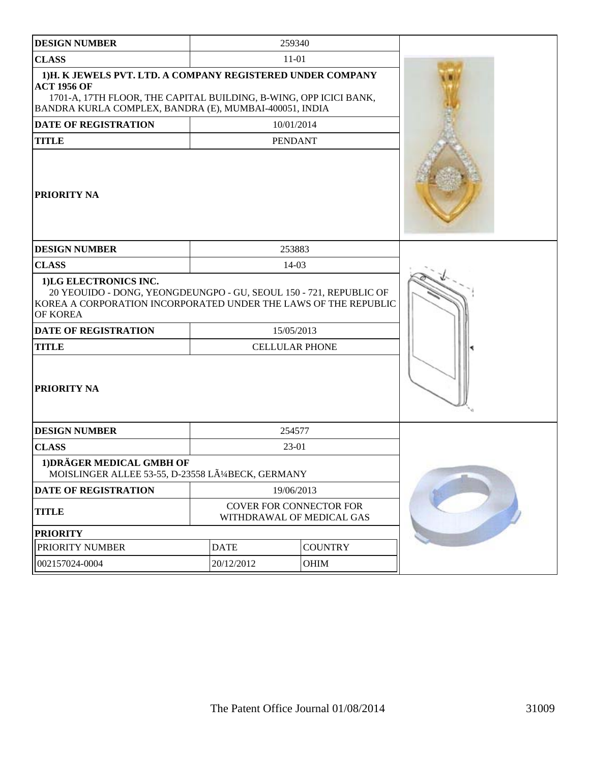| <b>DESIGN NUMBER</b>                                                                                                                                                                                            | 259340                                               |                |  |
|-----------------------------------------------------------------------------------------------------------------------------------------------------------------------------------------------------------------|------------------------------------------------------|----------------|--|
| <b>CLASS</b>                                                                                                                                                                                                    | $11 - 01$                                            |                |  |
| 1)H. K JEWELS PVT. LTD. A COMPANY REGISTERED UNDER COMPANY<br><b>ACT 1956 OF</b><br>1701-A, 17TH FLOOR, THE CAPITAL BUILDING, B-WING, OPP ICICI BANK,<br>BANDRA KURLA COMPLEX, BANDRA (E), MUMBAI-400051, INDIA |                                                      |                |  |
| <b>DATE OF REGISTRATION</b>                                                                                                                                                                                     | 10/01/2014                                           |                |  |
| <b>TITLE</b>                                                                                                                                                                                                    | <b>PENDANT</b>                                       |                |  |
| <b>PRIORITY NA</b>                                                                                                                                                                                              |                                                      |                |  |
| <b>DESIGN NUMBER</b>                                                                                                                                                                                            | 253883                                               |                |  |
| <b>CLASS</b>                                                                                                                                                                                                    | 14-03                                                |                |  |
| 1)LG ELECTRONICS INC.<br>20 YEOUIDO - DONG, YEONGDEUNGPO - GU, SEOUL 150 - 721, REPUBLIC OF<br>KOREA A CORPORATION INCORPORATED UNDER THE LAWS OF THE REPUBLIC<br>OF KOREA                                      |                                                      |                |  |
| <b>DATE OF REGISTRATION</b>                                                                                                                                                                                     | 15/05/2013                                           |                |  |
| <b>TITLE</b>                                                                                                                                                                                                    | <b>CELLULAR PHONE</b>                                |                |  |
| <b>PRIORITY NA</b>                                                                                                                                                                                              |                                                      |                |  |
| <b>DESIGN NUMBER</b>                                                                                                                                                                                            | 254577                                               |                |  |
| <b>CLASS</b>                                                                                                                                                                                                    | 23-01                                                |                |  |
| 1) DRÄGER MEDICAL GMBH OF<br>MOISLINGER ALLEE 53-55, D-23558 LüBECK, GERMANY                                                                                                                                    |                                                      |                |  |
| <b>DATE OF REGISTRATION</b>                                                                                                                                                                                     | 19/06/2013                                           |                |  |
| <b>TITLE</b>                                                                                                                                                                                                    | COVER FOR CONNECTOR FOR<br>WITHDRAWAL OF MEDICAL GAS |                |  |
| <b>PRIORITY</b>                                                                                                                                                                                                 |                                                      |                |  |
| PRIORITY NUMBER                                                                                                                                                                                                 | <b>DATE</b>                                          | <b>COUNTRY</b> |  |
| 002157024-0004                                                                                                                                                                                                  | 20/12/2012                                           |                |  |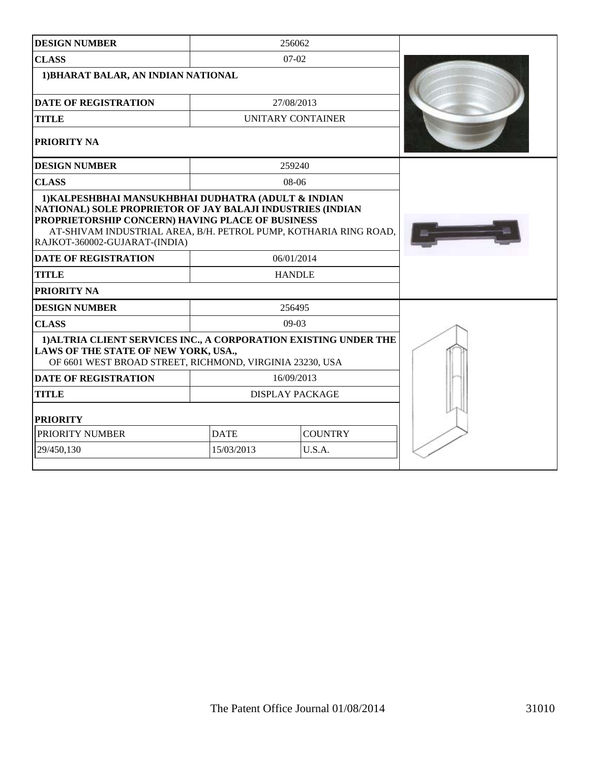| <b>DESIGN NUMBER</b>                                                                                                                                                                                                |                                     | 256062            |  |  |
|---------------------------------------------------------------------------------------------------------------------------------------------------------------------------------------------------------------------|-------------------------------------|-------------------|--|--|
| <b>CLASS</b>                                                                                                                                                                                                        | $07-02$                             |                   |  |  |
|                                                                                                                                                                                                                     | 1) BHARAT BALAR, AN INDIAN NATIONAL |                   |  |  |
| <b>DATE OF REGISTRATION</b>                                                                                                                                                                                         |                                     | 27/08/2013        |  |  |
| <b>TITLE</b>                                                                                                                                                                                                        |                                     | UNITARY CONTAINER |  |  |
| PRIORITY NA                                                                                                                                                                                                         |                                     |                   |  |  |
| <b>DESIGN NUMBER</b>                                                                                                                                                                                                |                                     | 259240            |  |  |
| <b>CLASS</b>                                                                                                                                                                                                        |                                     | 08-06             |  |  |
| NATIONAL) SOLE PROPRIETOR OF JAY BALAJI INDUSTRIES (INDIAN<br>PROPRIETORSHIP CONCERN) HAVING PLACE OF BUSINESS<br>AT-SHIVAM INDUSTRIAL AREA, B/H. PETROL PUMP, KOTHARIA RING ROAD,<br>RAJKOT-360002-GUJARAT-(INDIA) |                                     |                   |  |  |
| <b>DATE OF REGISTRATION</b>                                                                                                                                                                                         | 06/01/2014                          |                   |  |  |
| <b>TITLE</b>                                                                                                                                                                                                        |                                     | <b>HANDLE</b>     |  |  |
| PRIORITY NA                                                                                                                                                                                                         |                                     |                   |  |  |
| <b>DESIGN NUMBER</b>                                                                                                                                                                                                |                                     | 256495            |  |  |
| <b>CLASS</b>                                                                                                                                                                                                        |                                     | $09-03$           |  |  |
| 1) ALTRIA CLIENT SERVICES INC., A CORPORATION EXISTING UNDER THE<br>LAWS OF THE STATE OF NEW YORK, USA.,<br>OF 6601 WEST BROAD STREET, RICHMOND, VIRGINIA 23230, USA                                                |                                     |                   |  |  |
| <b>DATE OF REGISTRATION</b>                                                                                                                                                                                         | 16/09/2013                          |                   |  |  |
| <b>TITLE</b>                                                                                                                                                                                                        | <b>DISPLAY PACKAGE</b>              |                   |  |  |
| <b>PRIORITY</b>                                                                                                                                                                                                     |                                     |                   |  |  |
| PRIORITY NUMBER                                                                                                                                                                                                     | <b>DATE</b><br><b>COUNTRY</b>       |                   |  |  |
| 29/450,130                                                                                                                                                                                                          | 15/03/2013<br>U.S.A.                |                   |  |  |
|                                                                                                                                                                                                                     |                                     |                   |  |  |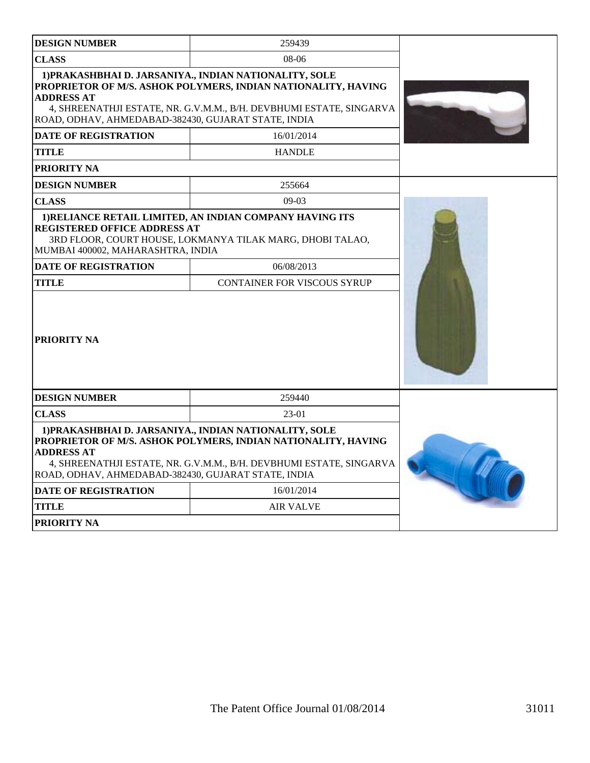| <b>DESIGN NUMBER</b>                                                                                                                                                                                                                                                       | 259439                                                                                                                               |  |  |
|----------------------------------------------------------------------------------------------------------------------------------------------------------------------------------------------------------------------------------------------------------------------------|--------------------------------------------------------------------------------------------------------------------------------------|--|--|
| <b>CLASS</b>                                                                                                                                                                                                                                                               | 08-06                                                                                                                                |  |  |
| 1) PRAKASHBHAI D. JARSANIYA., INDIAN NATIONALITY, SOLE<br>PROPRIETOR OF M/S. ASHOK POLYMERS, INDIAN NATIONALITY, HAVING<br><b>ADDRESS AT</b><br>4, SHREENATHJI ESTATE, NR. G.V.M.M., B/H. DEVBHUMI ESTATE, SINGARVA<br>ROAD, ODHAV, AHMEDABAD-382430, GUJARAT STATE, INDIA |                                                                                                                                      |  |  |
| <b>DATE OF REGISTRATION</b>                                                                                                                                                                                                                                                | 16/01/2014                                                                                                                           |  |  |
| <b>TITLE</b>                                                                                                                                                                                                                                                               | <b>HANDLE</b>                                                                                                                        |  |  |
| <b>PRIORITY NA</b>                                                                                                                                                                                                                                                         |                                                                                                                                      |  |  |
| <b>DESIGN NUMBER</b>                                                                                                                                                                                                                                                       | 255664                                                                                                                               |  |  |
| <b>CLASS</b>                                                                                                                                                                                                                                                               | $09-03$                                                                                                                              |  |  |
| <b>REGISTERED OFFICE ADDRESS AT</b><br>MUMBAI 400002, MAHARASHTRA, INDIA                                                                                                                                                                                                   | 1) RELIANCE RETAIL LIMITED, AN INDIAN COMPANY HAVING ITS<br>3RD FLOOR, COURT HOUSE, LOKMANYA TILAK MARG, DHOBI TALAO,                |  |  |
| <b>DATE OF REGISTRATION</b><br><b>TITLE</b>                                                                                                                                                                                                                                | 06/08/2013                                                                                                                           |  |  |
| <b>PRIORITY NA</b>                                                                                                                                                                                                                                                         |                                                                                                                                      |  |  |
| <b>DESIGN NUMBER</b>                                                                                                                                                                                                                                                       | 259440                                                                                                                               |  |  |
| <b>CLASS</b>                                                                                                                                                                                                                                                               | 23-01                                                                                                                                |  |  |
| 1) PRAKASHBHAI D. JARSANIYA., INDIAN NATIONALITY, SOLE<br><b>ADDRESS AT</b><br>ROAD, ODHAV, AHMEDABAD-382430, GUJARAT STATE, INDIA                                                                                                                                         | PROPRIETOR OF M/S. ASHOK POLYMERS, INDIAN NATIONALITY, HAVING<br>4, SHREENATHJI ESTATE, NR. G.V.M.M., B/H. DEVBHUMI ESTATE, SINGARVA |  |  |
| <b>DATE OF REGISTRATION</b>                                                                                                                                                                                                                                                | 16/01/2014                                                                                                                           |  |  |
| <b>TITLE</b>                                                                                                                                                                                                                                                               |                                                                                                                                      |  |  |
| <b>PRIORITY NA</b>                                                                                                                                                                                                                                                         |                                                                                                                                      |  |  |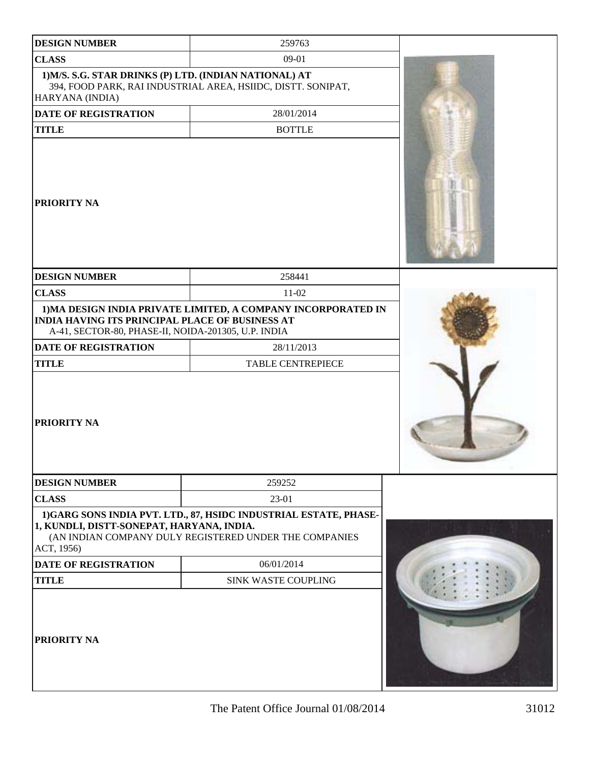| <b>DESIGN NUMBER</b>                                                                                          | 259763                                                                                                                     |  |
|---------------------------------------------------------------------------------------------------------------|----------------------------------------------------------------------------------------------------------------------------|--|
| <b>CLASS</b>                                                                                                  | 09-01                                                                                                                      |  |
| 1) M/S. S.G. STAR DRINKS (P) LTD. (INDIAN NATIONAL) AT<br>HARYANA (INDIA)                                     | 394, FOOD PARK, RAI INDUSTRIAL AREA, HSIIDC, DISTT. SONIPAT,                                                               |  |
| <b>DATE OF REGISTRATION</b>                                                                                   | 28/01/2014                                                                                                                 |  |
| <b>TITLE</b>                                                                                                  | <b>BOTTLE</b>                                                                                                              |  |
| <b>PRIORITY NA</b>                                                                                            |                                                                                                                            |  |
| <b>DESIGN NUMBER</b>                                                                                          | 258441                                                                                                                     |  |
| <b>CLASS</b>                                                                                                  | $11-02$                                                                                                                    |  |
| <b>INDIA HAVING ITS PRINCIPAL PLACE OF BUSINESS AT</b><br>A-41, SECTOR-80, PHASE-II, NOIDA-201305, U.P. INDIA | 1) MA DESIGN INDIA PRIVATE LIMITED, A COMPANY INCORPORATED IN                                                              |  |
| <b>DATE OF REGISTRATION</b>                                                                                   | 28/11/2013                                                                                                                 |  |
| <b>TITLE</b>                                                                                                  | <b>TABLE CENTREPIECE</b>                                                                                                   |  |
| PRIORITY NA                                                                                                   |                                                                                                                            |  |
| <b>DESIGN NUMBER</b>                                                                                          | 259252                                                                                                                     |  |
| <b>CLASS</b>                                                                                                  | 23-01                                                                                                                      |  |
| 1, KUNDLI, DISTT-SONEPAT, HARYANA, INDIA.<br>ACT, 1956)                                                       | 1)GARG SONS INDIA PVT. LTD., 87, HSIDC INDUSTRIAL ESTATE, PHASE-<br>(AN INDIAN COMPANY DULY REGISTERED UNDER THE COMPANIES |  |
| <b>DATE OF REGISTRATION</b>                                                                                   | 06/01/2014                                                                                                                 |  |
| <b>TITLE</b>                                                                                                  | <b>SINK WASTE COUPLING</b>                                                                                                 |  |
| PRIORITY NA                                                                                                   |                                                                                                                            |  |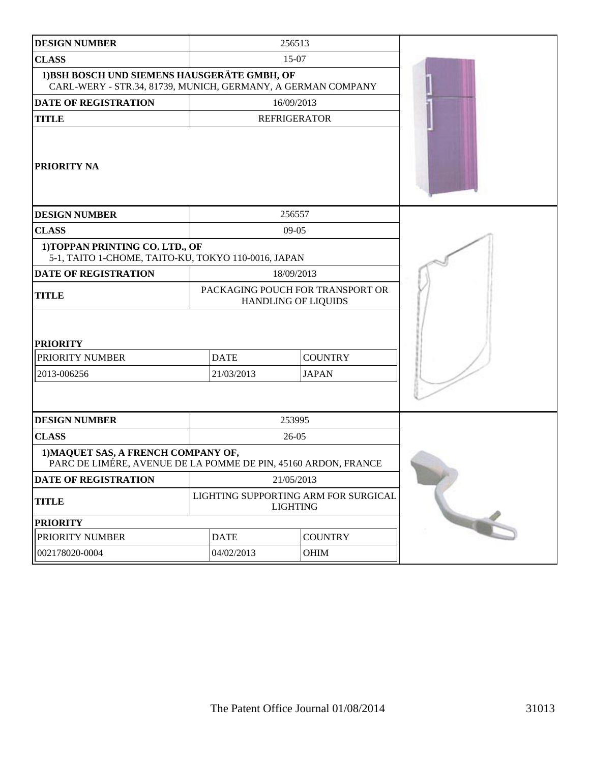| <b>DESIGN NUMBER</b>                                                                                         |                                                             | 256513                                                         |  |
|--------------------------------------------------------------------------------------------------------------|-------------------------------------------------------------|----------------------------------------------------------------|--|
| <b>CLASS</b>                                                                                                 |                                                             | 15-07                                                          |  |
| 1) BSH BOSCH UND SIEMENS HAUSGERÄTE GMBH, OF<br>CARL-WERY - STR.34, 81739, MUNICH, GERMANY, A GERMAN COMPANY |                                                             |                                                                |  |
| <b>DATE OF REGISTRATION</b>                                                                                  |                                                             | 16/09/2013                                                     |  |
| <b>TITLE</b>                                                                                                 |                                                             | <b>REFRIGERATOR</b>                                            |  |
| <b>PRIORITY NA</b>                                                                                           |                                                             |                                                                |  |
| <b>DESIGN NUMBER</b>                                                                                         |                                                             | 256557                                                         |  |
| <b>CLASS</b>                                                                                                 |                                                             | $09 - 05$                                                      |  |
| 1) TOPPAN PRINTING CO. LTD., OF<br>5-1, TAITO 1-CHOME, TAITO-KU, TOKYO 110-0016, JAPAN                       |                                                             |                                                                |  |
| <b>DATE OF REGISTRATION</b>                                                                                  |                                                             | 18/09/2013                                                     |  |
| <b>TITLE</b>                                                                                                 |                                                             | PACKAGING POUCH FOR TRANSPORT OR<br><b>HANDLING OF LIQUIDS</b> |  |
| <b>PRIORITY</b><br>PRIORITY NUMBER<br>2013-006256                                                            | <b>DATE</b><br><b>COUNTRY</b><br>21/03/2013<br><b>JAPAN</b> |                                                                |  |
| <b>DESIGN NUMBER</b>                                                                                         |                                                             | 253995                                                         |  |
| <b>CLASS</b>                                                                                                 |                                                             | $26-05$                                                        |  |
| 1) MAQUET SAS, A FRENCH COMPANY OF,<br>PARC DE LIMÉRE, AVENUE DE LA POMME DE PIN, 45160 ARDON, FRANCE        |                                                             |                                                                |  |
| DATE OF REGISTRATION                                                                                         |                                                             | 21/05/2013                                                     |  |
| <b>TITLE</b>                                                                                                 |                                                             | LIGHTING SUPPORTING ARM FOR SURGICAL<br><b>LIGHTING</b>        |  |
| <b>PRIORITY</b>                                                                                              |                                                             |                                                                |  |
| PRIORITY NUMBER                                                                                              | <b>DATE</b>                                                 | <b>COUNTRY</b>                                                 |  |
| 002178020-0004                                                                                               | 04/02/2013                                                  | OHIM                                                           |  |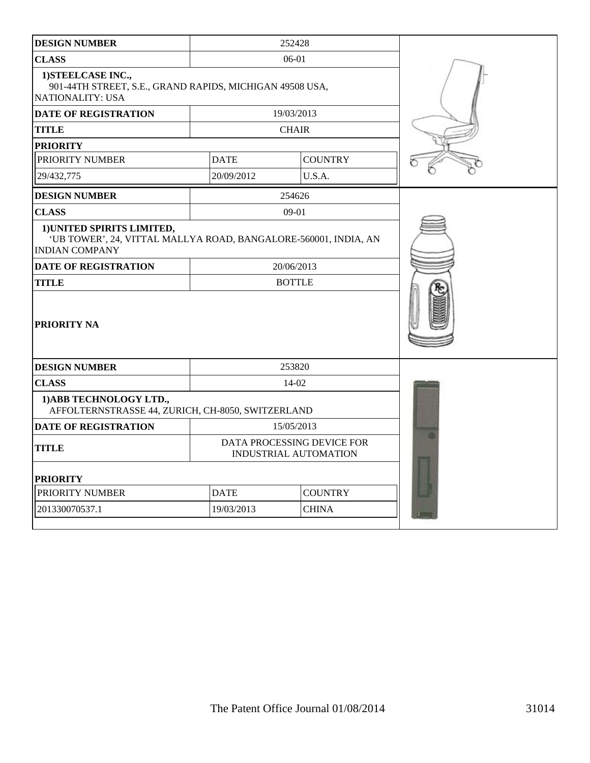| <b>DESIGN NUMBER</b>                                                                                                   |             | 252428                                                     |  |
|------------------------------------------------------------------------------------------------------------------------|-------------|------------------------------------------------------------|--|
| <b>CLASS</b>                                                                                                           |             | 06-01                                                      |  |
| 1) STEELCASE INC.,<br>901-44TH STREET, S.E., GRAND RAPIDS, MICHIGAN 49508 USA,<br><b>NATIONALITY: USA</b>              |             |                                                            |  |
| <b>DATE OF REGISTRATION</b>                                                                                            |             | 19/03/2013                                                 |  |
| <b>TITLE</b>                                                                                                           |             | <b>CHAIR</b>                                               |  |
| <b>PRIORITY</b>                                                                                                        |             |                                                            |  |
| PRIORITY NUMBER                                                                                                        | <b>DATE</b> | <b>COUNTRY</b>                                             |  |
| 29/432,775                                                                                                             | 20/09/2012  | U.S.A.                                                     |  |
| <b>DESIGN NUMBER</b>                                                                                                   |             | 254626                                                     |  |
| <b>CLASS</b>                                                                                                           |             | $09 - 01$                                                  |  |
| 1) UNITED SPIRITS LIMITED,<br>'UB TOWER', 24, VITTAL MALLYA ROAD, BANGALORE-560001, INDIA, AN<br><b>INDIAN COMPANY</b> |             |                                                            |  |
| <b>DATE OF REGISTRATION</b>                                                                                            |             | 20/06/2013                                                 |  |
| <b>TITLE</b>                                                                                                           |             | <b>BOTTLE</b>                                              |  |
| PRIORITY NA                                                                                                            |             |                                                            |  |
| <b>DESIGN NUMBER</b>                                                                                                   |             | 253820                                                     |  |
| <b>CLASS</b>                                                                                                           |             | $14-02$                                                    |  |
| 1) ABB TECHNOLOGY LTD.,<br>AFFOLTERNSTRASSE 44, ZURICH, CH-8050, SWITZERLAND                                           |             |                                                            |  |
| <b>DATE OF REGISTRATION</b>                                                                                            |             | 15/05/2013                                                 |  |
| <b>TITLE</b>                                                                                                           |             | DATA PROCESSING DEVICE FOR<br><b>INDUSTRIAL AUTOMATION</b> |  |
| <b>PRIORITY</b>                                                                                                        |             |                                                            |  |
| PRIORITY NUMBER                                                                                                        | <b>DATE</b> | <b>COUNTRY</b>                                             |  |
| 201330070537.1                                                                                                         | 19/03/2013  |                                                            |  |
|                                                                                                                        |             |                                                            |  |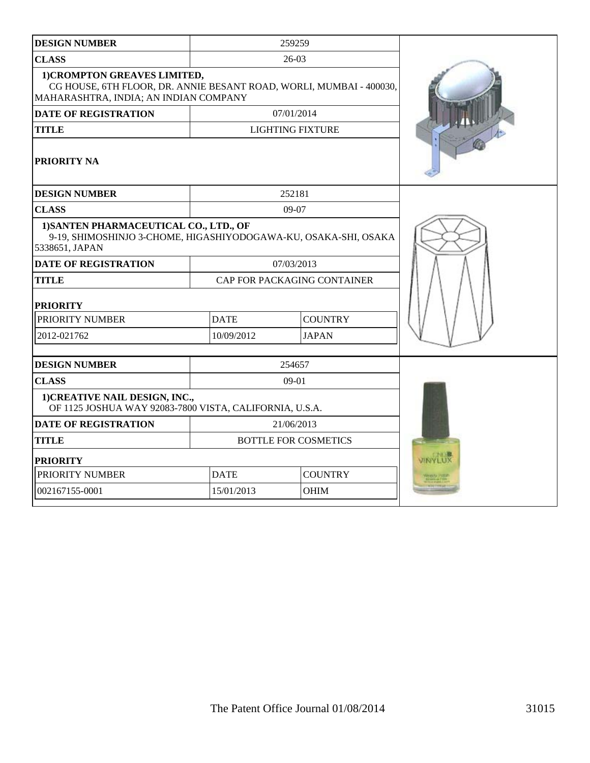| <b>DESIGN NUMBER</b>                                                                                                                         |                            | 259259                      |         |
|----------------------------------------------------------------------------------------------------------------------------------------------|----------------------------|-----------------------------|---------|
| <b>CLASS</b>                                                                                                                                 |                            | $26-03$                     |         |
| 1) CROMPTON GREAVES LIMITED,<br>CG HOUSE, 6TH FLOOR, DR. ANNIE BESANT ROAD, WORLI, MUMBAI - 400030,<br>MAHARASHTRA, INDIA; AN INDIAN COMPANY |                            |                             |         |
| <b>DATE OF REGISTRATION</b>                                                                                                                  |                            | 07/01/2014                  |         |
| <b>TITLE</b>                                                                                                                                 |                            | <b>LIGHTING FIXTURE</b>     |         |
| <b>PRIORITY NA</b>                                                                                                                           |                            |                             |         |
| <b>DESIGN NUMBER</b>                                                                                                                         |                            | 252181                      |         |
| <b>CLASS</b>                                                                                                                                 |                            | 09-07                       |         |
| 1) SANTEN PHARMACEUTICAL CO., LTD., OF<br>9-19, SHIMOSHINJO 3-CHOME, HIGASHIYODOGAWA-KU, OSAKA-SHI, OSAKA<br>5338651, JAPAN                  |                            |                             |         |
| <b>DATE OF REGISTRATION</b>                                                                                                                  |                            | 07/03/2013                  |         |
| <b>TITLE</b>                                                                                                                                 |                            | CAP FOR PACKAGING CONTAINER |         |
| <b>PRIORITY</b>                                                                                                                              |                            |                             |         |
| PRIORITY NUMBER                                                                                                                              | <b>DATE</b>                | <b>COUNTRY</b>              |         |
| 2012-021762                                                                                                                                  | <b>JAPAN</b><br>10/09/2012 |                             |         |
|                                                                                                                                              |                            |                             |         |
| <b>DESIGN NUMBER</b>                                                                                                                         |                            | 254657                      |         |
| <b>CLASS</b>                                                                                                                                 |                            | $09-01$                     |         |
| 1) CREATIVE NAIL DESIGN, INC.,<br>OF 1125 JOSHUA WAY 92083-7800 VISTA, CALIFORNIA, U.S.A.                                                    |                            |                             |         |
| <b>DATE OF REGISTRATION</b>                                                                                                                  |                            | 21/06/2013                  |         |
| <b>TITLE</b>                                                                                                                                 |                            | <b>BOTTLE FOR COSMETICS</b> |         |
| <b>PRIORITY</b>                                                                                                                              |                            |                             | VINYLUX |
| PRIORITY NUMBER                                                                                                                              | <b>DATE</b>                | <b>COUNTRY</b>              |         |
| 002167155-0001                                                                                                                               | 15/01/2013                 | OHIM                        |         |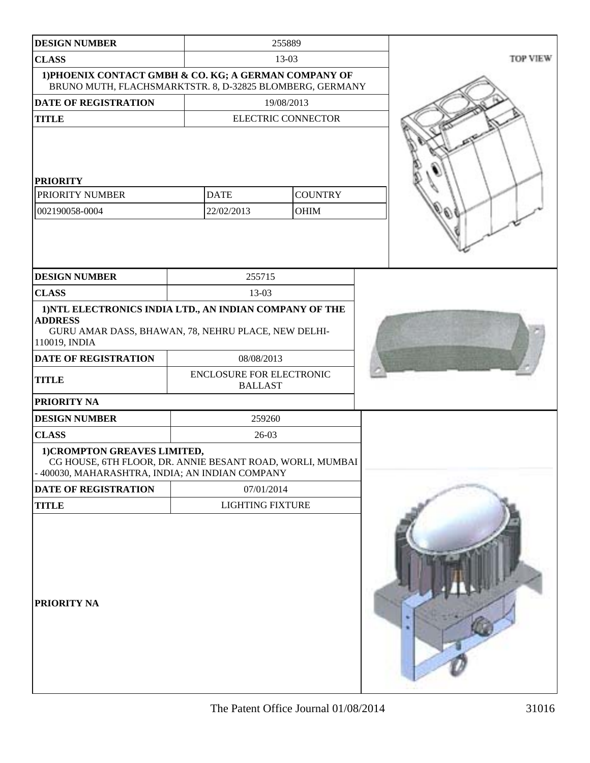| <b>DESIGN NUMBER</b>                                                                                                                              |                                            | 255889                        |          |
|---------------------------------------------------------------------------------------------------------------------------------------------------|--------------------------------------------|-------------------------------|----------|
| <b>CLASS</b>                                                                                                                                      |                                            | $13-03$                       | TOP VIEW |
| 1) PHOENIX CONTACT GMBH & CO. KG; A GERMAN COMPANY OF<br>BRUNO MUTH, FLACHSMARKTSTR. 8, D-32825 BLOMBERG, GERMANY                                 |                                            |                               |          |
| <b>DATE OF REGISTRATION</b>                                                                                                                       |                                            | 19/08/2013                    |          |
| <b>TITLE</b>                                                                                                                                      |                                            | <b>ELECTRIC CONNECTOR</b>     |          |
| <b>PRIORITY</b><br>PRIORITY NUMBER<br>002190058-0004                                                                                              | <b>DATE</b><br>22/02/2013                  | <b>COUNTRY</b><br><b>OHIM</b> |          |
| <b>DESIGN NUMBER</b>                                                                                                                              | 255715                                     |                               |          |
| <b>CLASS</b>                                                                                                                                      | 13-03                                      |                               |          |
| 1) NTL ELECTRONICS INDIA LTD., AN INDIAN COMPANY OF THE<br><b>ADDRESS</b><br>GURU AMAR DASS, BHAWAN, 78, NEHRU PLACE, NEW DELHI-<br>110019, INDIA |                                            |                               |          |
| DATE OF REGISTRATION                                                                                                                              | 08/08/2013                                 |                               |          |
| <b>TITLE</b>                                                                                                                                      | ENCLOSURE FOR ELECTRONIC<br><b>BALLAST</b> |                               |          |
| <b>PRIORITY NA</b>                                                                                                                                |                                            |                               |          |
| <b>DESIGN NUMBER</b>                                                                                                                              | 259260                                     |                               |          |
| <b>CLASS</b>                                                                                                                                      | $26-03$                                    |                               |          |
| 1) CROMPTON GREAVES LIMITED,<br>CG HOUSE, 6TH FLOOR, DR. ANNIE BESANT ROAD, WORLI, MUMBAI<br>- 400030, MAHARASHTRA, INDIA; AN INDIAN COMPANY      |                                            |                               |          |
| DATE OF REGISTRATION                                                                                                                              | 07/01/2014                                 |                               |          |
| <b>TITLE</b>                                                                                                                                      | <b>LIGHTING FIXTURE</b>                    |                               |          |
| <b>PRIORITY NA</b>                                                                                                                                |                                            |                               |          |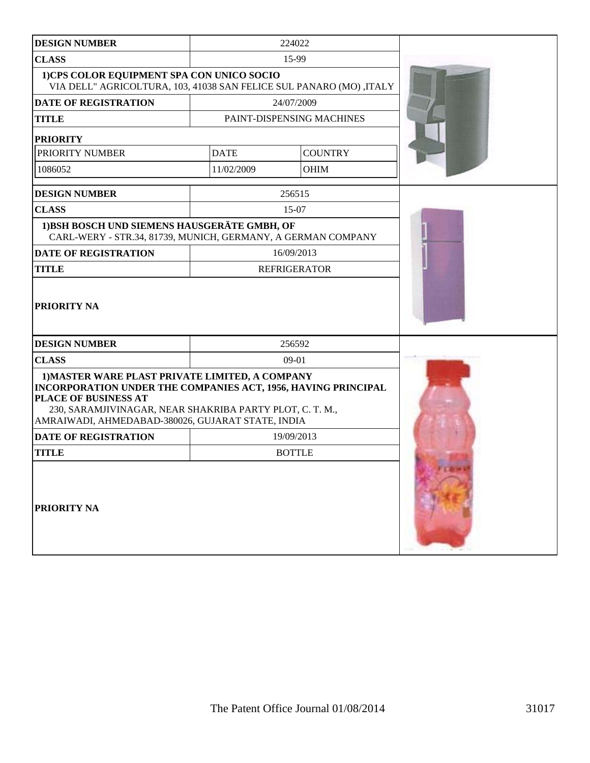| <b>DESIGN NUMBER</b>                                                                                                                                                                                                                                      |             | 224022                    |  |
|-----------------------------------------------------------------------------------------------------------------------------------------------------------------------------------------------------------------------------------------------------------|-------------|---------------------------|--|
| <b>CLASS</b>                                                                                                                                                                                                                                              |             | 15-99                     |  |
| 1)CPS COLOR EQUIPMENT SPA CON UNICO SOCIO<br>VIA DELL" AGRICOLTURA, 103, 41038 SAN FELICE SUL PANARO (MO) ,ITALY                                                                                                                                          |             |                           |  |
| <b>DATE OF REGISTRATION</b>                                                                                                                                                                                                                               |             | 24/07/2009                |  |
| <b>TITLE</b>                                                                                                                                                                                                                                              |             | PAINT-DISPENSING MACHINES |  |
| <b>PRIORITY</b>                                                                                                                                                                                                                                           |             |                           |  |
| PRIORITY NUMBER                                                                                                                                                                                                                                           | <b>DATE</b> | <b>COUNTRY</b>            |  |
| 1086052                                                                                                                                                                                                                                                   | 11/02/2009  | OHIM                      |  |
| <b>DESIGN NUMBER</b>                                                                                                                                                                                                                                      |             | 256515                    |  |
| <b>CLASS</b>                                                                                                                                                                                                                                              |             | 15-07                     |  |
| 1) BSH BOSCH UND SIEMENS HAUSGERÄTE GMBH, OF<br>CARL-WERY - STR.34, 81739, MUNICH, GERMANY, A GERMAN COMPANY                                                                                                                                              |             |                           |  |
| <b>DATE OF REGISTRATION</b>                                                                                                                                                                                                                               |             | 16/09/2013                |  |
| <b>TITLE</b>                                                                                                                                                                                                                                              |             | <b>REFRIGERATOR</b>       |  |
| <b>PRIORITY NA</b>                                                                                                                                                                                                                                        |             |                           |  |
| <b>DESIGN NUMBER</b>                                                                                                                                                                                                                                      |             | 256592                    |  |
| <b>CLASS</b>                                                                                                                                                                                                                                              |             | $09-01$                   |  |
| 1) MASTER WARE PLAST PRIVATE LIMITED, A COMPANY<br>INCORPORATION UNDER THE COMPANIES ACT, 1956, HAVING PRINCIPAL<br>PLACE OF BUSINESS AT<br>230, SARAMJIVINAGAR, NEAR SHAKRIBA PARTY PLOT, C. T. M.,<br>AMRAIWADI, AHMEDABAD-380026, GUJARAT STATE, INDIA |             |                           |  |
| <b>DATE OF REGISTRATION</b>                                                                                                                                                                                                                               |             | 19/09/2013                |  |
| <b>TITLE</b>                                                                                                                                                                                                                                              |             | <b>BOTTLE</b>             |  |
| PRIORITY NA                                                                                                                                                                                                                                               |             |                           |  |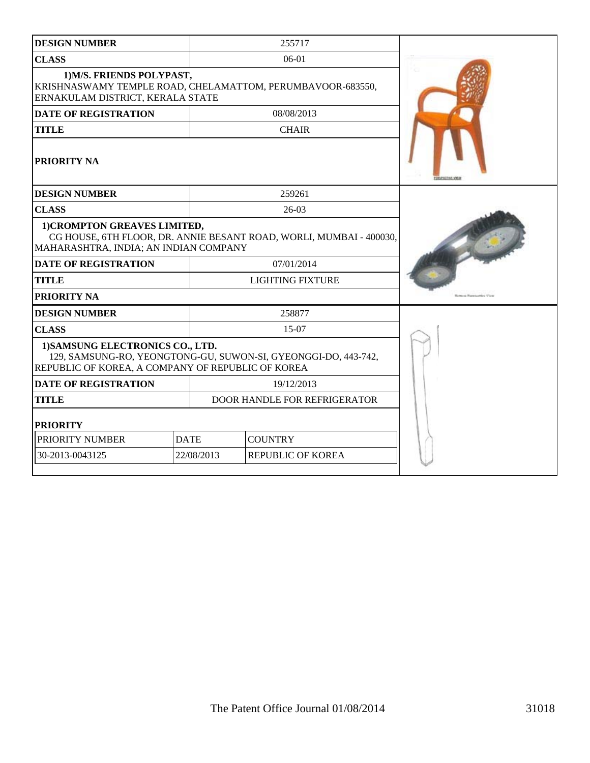| <b>DESIGN NUMBER</b>                                                                                                                                    |             | 255717                       |  |
|---------------------------------------------------------------------------------------------------------------------------------------------------------|-------------|------------------------------|--|
| <b>CLASS</b>                                                                                                                                            |             | $06-01$                      |  |
| 1) M/S. FRIENDS POLYPAST,<br>KRISHNASWAMY TEMPLE ROAD, CHELAMATTOM, PERUMBAVOOR-683550,<br>ERNAKULAM DISTRICT, KERALA STATE                             |             |                              |  |
| <b>DATE OF REGISTRATION</b>                                                                                                                             |             | 08/08/2013                   |  |
| <b>TITLE</b>                                                                                                                                            |             | <b>CHAIR</b>                 |  |
| PRIORITY NA                                                                                                                                             |             |                              |  |
| <b>DESIGN NUMBER</b>                                                                                                                                    |             | 259261                       |  |
| <b>CLASS</b>                                                                                                                                            |             | $26-03$                      |  |
| 1) CROMPTON GREAVES LIMITED,<br>CG HOUSE, 6TH FLOOR, DR. ANNIE BESANT ROAD, WORLI, MUMBAI - 400030,<br>MAHARASHTRA, INDIA; AN INDIAN COMPANY            |             |                              |  |
| <b>DATE OF REGISTRATION</b><br>07/01/2014                                                                                                               |             |                              |  |
| <b>TITLE</b>                                                                                                                                            |             | <b>LIGHTING FIXTURE</b>      |  |
| PRIORITY NA                                                                                                                                             |             |                              |  |
| <b>DESIGN NUMBER</b>                                                                                                                                    |             | 258877                       |  |
| <b>CLASS</b>                                                                                                                                            | 15-07       |                              |  |
| 1) SAMSUNG ELECTRONICS CO., LTD.<br>129, SAMSUNG-RO, YEONGTONG-GU, SUWON-SI, GYEONGGI-DO, 443-742,<br>REPUBLIC OF KOREA, A COMPANY OF REPUBLIC OF KOREA |             |                              |  |
| <b>DATE OF REGISTRATION</b><br>19/12/2013                                                                                                               |             |                              |  |
| <b>TITLE</b>                                                                                                                                            |             | DOOR HANDLE FOR REFRIGERATOR |  |
| <b>PRIORITY</b>                                                                                                                                         |             |                              |  |
| PRIORITY NUMBER                                                                                                                                         | <b>DATE</b> | <b>COUNTRY</b>               |  |
| 30-2013-0043125                                                                                                                                         | 22/08/2013  | <b>REPUBLIC OF KOREA</b>     |  |
|                                                                                                                                                         |             |                              |  |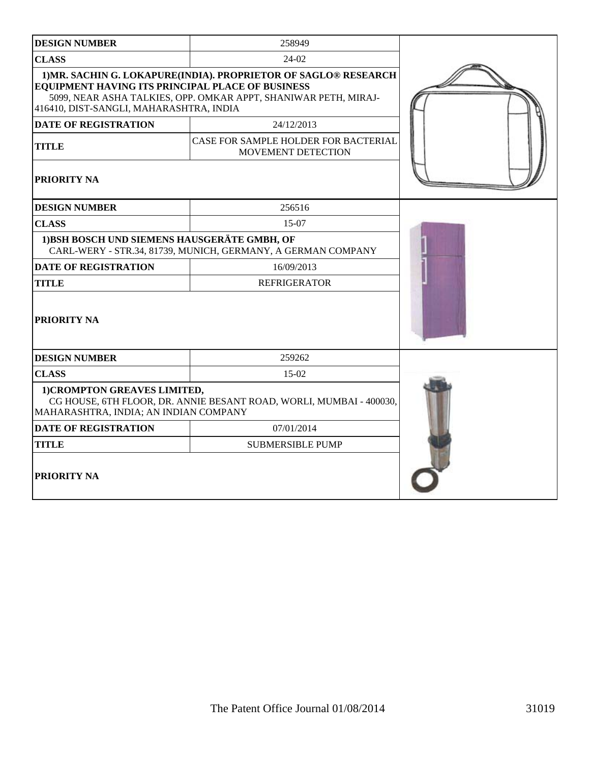| <b>DESIGN NUMBER</b>                                                                        | 258949                                                                                                                             |  |  |  |
|---------------------------------------------------------------------------------------------|------------------------------------------------------------------------------------------------------------------------------------|--|--|--|
| <b>CLASS</b>                                                                                | 24-02                                                                                                                              |  |  |  |
| EQUIPMENT HAVING ITS PRINCIPAL PLACE OF BUSINESS<br>416410, DIST-SANGLI, MAHARASHTRA, INDIA | 1) MR. SACHIN G. LOKAPURE(INDIA). PROPRIETOR OF SAGLO® RESEARCH<br>5099, NEAR ASHA TALKIES, OPP. OMKAR APPT, SHANIWAR PETH, MIRAJ- |  |  |  |
| <b>DATE OF REGISTRATION</b>                                                                 | 24/12/2013                                                                                                                         |  |  |  |
| <b>TITLE</b>                                                                                | CASE FOR SAMPLE HOLDER FOR BACTERIAL<br>MOVEMENT DETECTION                                                                         |  |  |  |
| <b>PRIORITY NA</b>                                                                          |                                                                                                                                    |  |  |  |
| <b>DESIGN NUMBER</b>                                                                        | 256516                                                                                                                             |  |  |  |
| <b>CLASS</b>                                                                                | 15-07                                                                                                                              |  |  |  |
| 1) BSH BOSCH UND SIEMENS HAUSGERÄTE GMBH, OF                                                | CARL-WERY - STR.34, 81739, MUNICH, GERMANY, A GERMAN COMPANY                                                                       |  |  |  |
| <b>DATE OF REGISTRATION</b>                                                                 | 16/09/2013                                                                                                                         |  |  |  |
| <b>TITLE</b>                                                                                | <b>REFRIGERATOR</b>                                                                                                                |  |  |  |
| <b>PRIORITY NA</b>                                                                          |                                                                                                                                    |  |  |  |
| <b>DESIGN NUMBER</b>                                                                        | 259262                                                                                                                             |  |  |  |
| <b>CLASS</b>                                                                                | 15-02                                                                                                                              |  |  |  |
| 1) CROMPTON GREAVES LIMITED,<br>MAHARASHTRA, INDIA; AN INDIAN COMPANY                       | CG HOUSE, 6TH FLOOR, DR. ANNIE BESANT ROAD, WORLI, MUMBAI - 400030,                                                                |  |  |  |
| <b>DATE OF REGISTRATION</b>                                                                 | 07/01/2014                                                                                                                         |  |  |  |
| <b>TITLE</b>                                                                                | <b>SUBMERSIBLE PUMP</b>                                                                                                            |  |  |  |
| <b>PRIORITY NA</b>                                                                          |                                                                                                                                    |  |  |  |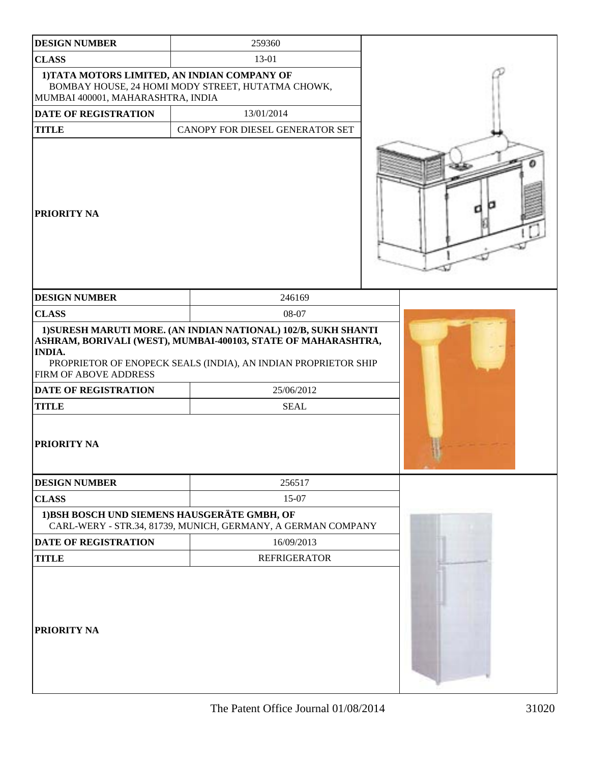| <b>DESIGN NUMBER</b>                                                                  | 259360                                                                                                                                                                                                                         |  |
|---------------------------------------------------------------------------------------|--------------------------------------------------------------------------------------------------------------------------------------------------------------------------------------------------------------------------------|--|
| <b>CLASS</b>                                                                          | 13-01                                                                                                                                                                                                                          |  |
| 1) TATA MOTORS LIMITED, AN INDIAN COMPANY OF<br>MUMBAI 400001, MAHARASHTRA, INDIA     | BOMBAY HOUSE, 24 HOMI MODY STREET, HUTATMA CHOWK,                                                                                                                                                                              |  |
| DATE OF REGISTRATION                                                                  | 13/01/2014                                                                                                                                                                                                                     |  |
| <b>TITLE</b>                                                                          | CANOPY FOR DIESEL GENERATOR SET                                                                                                                                                                                                |  |
| PRIORITY NA                                                                           |                                                                                                                                                                                                                                |  |
| <b>DESIGN NUMBER</b>                                                                  | 246169                                                                                                                                                                                                                         |  |
| <b>CLASS</b>                                                                          | 08-07                                                                                                                                                                                                                          |  |
| <b>INDIA.</b><br><b>FIRM OF ABOVE ADDRESS</b><br>DATE OF REGISTRATION<br><b>TITLE</b> | 1) SURESH MARUTI MORE. (AN INDIAN NATIONAL) 102/B, SUKH SHANTI<br>ASHRAM, BORIVALI (WEST), MUMBAI-400103, STATE OF MAHARASHTRA,<br>PROPRIETOR OF ENOPECK SEALS (INDIA), AN INDIAN PROPRIETOR SHIP<br>25/06/2012<br><b>SEAL</b> |  |
| PRIORITY NA                                                                           |                                                                                                                                                                                                                                |  |
| <b>DESIGN NUMBER</b>                                                                  | 256517                                                                                                                                                                                                                         |  |
| <b>CLASS</b>                                                                          | 15-07                                                                                                                                                                                                                          |  |
| 1) BSH BOSCH UND SIEMENS HAUSGERÄTE GMBH, OF                                          | CARL-WERY - STR.34, 81739, MUNICH, GERMANY, A GERMAN COMPANY                                                                                                                                                                   |  |
| <b>DATE OF REGISTRATION</b>                                                           | 16/09/2013                                                                                                                                                                                                                     |  |
| <b>TITLE</b>                                                                          | <b>REFRIGERATOR</b>                                                                                                                                                                                                            |  |
| PRIORITY NA                                                                           |                                                                                                                                                                                                                                |  |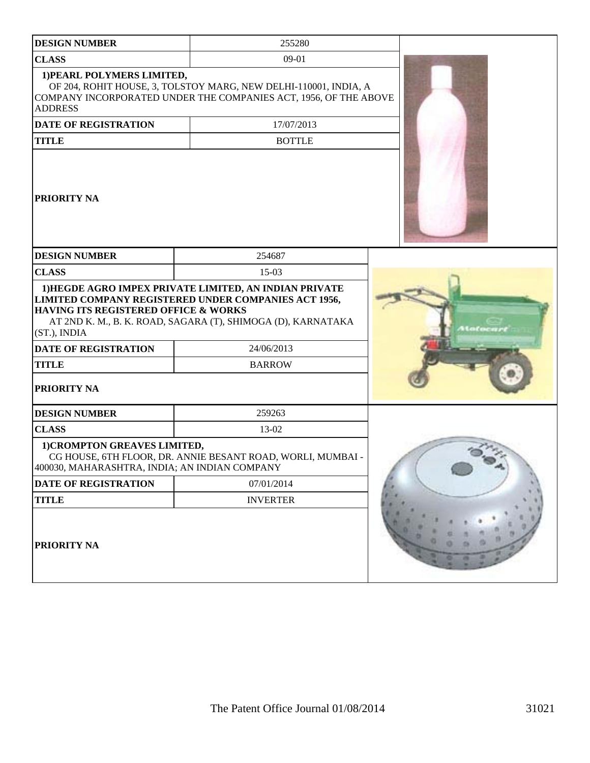| <b>DESIGN NUMBER</b>                                                                                                          | 255280                                                                                                                                              |  |
|-------------------------------------------------------------------------------------------------------------------------------|-----------------------------------------------------------------------------------------------------------------------------------------------------|--|
| <b>CLASS</b>                                                                                                                  | $09-01$                                                                                                                                             |  |
| 1) PEARL POLYMERS LIMITED,<br><b>ADDRESS</b>                                                                                  | OF 204, ROHIT HOUSE, 3, TOLSTOY MARG, NEW DELHI-110001, INDIA, A<br>COMPANY INCORPORATED UNDER THE COMPANIES ACT, 1956, OF THE ABOVE                |  |
| <b>DATE OF REGISTRATION</b>                                                                                                   | 17/07/2013                                                                                                                                          |  |
| <b>TITLE</b>                                                                                                                  | <b>BOTTLE</b>                                                                                                                                       |  |
| PRIORITY NA                                                                                                                   |                                                                                                                                                     |  |
| <b>DESIGN NUMBER</b>                                                                                                          | 254687                                                                                                                                              |  |
| <b>CLASS</b>                                                                                                                  | $15-03$                                                                                                                                             |  |
| <b>HAVING ITS REGISTERED OFFICE &amp; WORKS</b><br>(ST.), INDIA<br><b>DATE OF REGISTRATION</b><br><b>TITLE</b><br>PRIORITY NA | LIMITED COMPANY REGISTERED UNDER COMPANIES ACT 1956,<br>AT 2ND K. M., B. K. ROAD, SAGARA (T), SHIMOGA (D), KARNATAKA<br>24/06/2013<br><b>BARROW</b> |  |
| <b>DESIGN NUMBER</b>                                                                                                          | 259263                                                                                                                                              |  |
| <b>CLASS</b>                                                                                                                  | 13-02                                                                                                                                               |  |
| 1) CROMPTON GREAVES LIMITED,<br>400030, MAHARASHTRA, INDIA; AN INDIAN COMPANY                                                 | CG HOUSE, 6TH FLOOR, DR. ANNIE BESANT ROAD, WORLI, MUMBAI -                                                                                         |  |
| DATE OF REGISTRATION                                                                                                          | 07/01/2014                                                                                                                                          |  |
| <b>TITLE</b>                                                                                                                  | <b>INVERTER</b>                                                                                                                                     |  |
| PRIORITY NA                                                                                                                   |                                                                                                                                                     |  |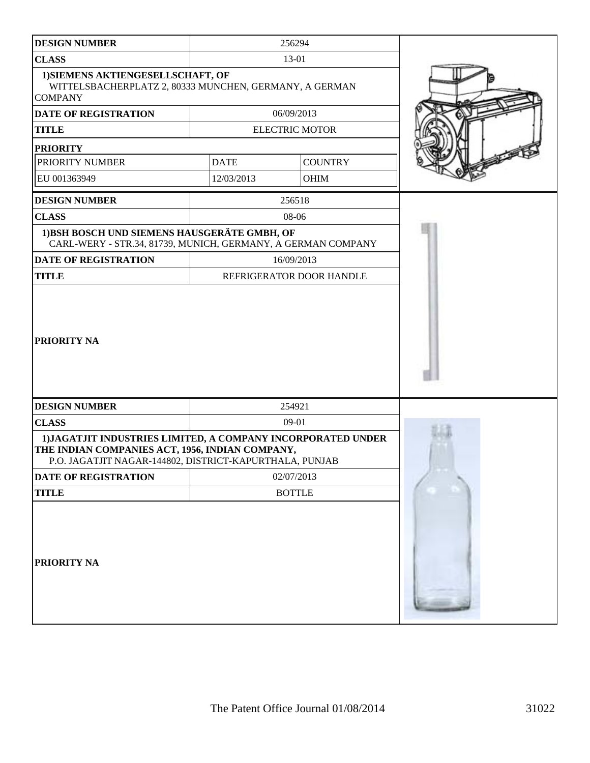| <b>DESIGN NUMBER</b>                                                                                                                                                       |               | 256294                   |  |
|----------------------------------------------------------------------------------------------------------------------------------------------------------------------------|---------------|--------------------------|--|
| <b>CLASS</b>                                                                                                                                                               |               | 13-01                    |  |
| 1) SIEMENS AKTIENGESELLSCHAFT, OF<br>WITTELSBACHERPLATZ 2, 80333 MUNCHEN, GERMANY, A GERMAN<br><b>COMPANY</b>                                                              |               |                          |  |
| <b>DATE OF REGISTRATION</b>                                                                                                                                                |               | 06/09/2013               |  |
| <b>TITLE</b>                                                                                                                                                               |               | <b>ELECTRIC MOTOR</b>    |  |
| <b>PRIORITY</b>                                                                                                                                                            |               |                          |  |
| PRIORITY NUMBER                                                                                                                                                            | <b>DATE</b>   | <b>COUNTRY</b>           |  |
| EU 001363949                                                                                                                                                               | 12/03/2013    | OHIM                     |  |
| <b>DESIGN NUMBER</b>                                                                                                                                                       |               | 256518                   |  |
| <b>CLASS</b>                                                                                                                                                               |               | 08-06                    |  |
| 1) BSH BOSCH UND SIEMENS HAUSGERÄTE GMBH, OF<br>CARL-WERY - STR.34, 81739, MUNICH, GERMANY, A GERMAN COMPANY                                                               |               |                          |  |
| <b>DATE OF REGISTRATION</b>                                                                                                                                                |               | 16/09/2013               |  |
| <b>TITLE</b>                                                                                                                                                               |               | REFRIGERATOR DOOR HANDLE |  |
| PRIORITY NA                                                                                                                                                                |               |                          |  |
| <b>DESIGN NUMBER</b>                                                                                                                                                       |               | 254921                   |  |
| <b>CLASS</b>                                                                                                                                                               |               | 09-01                    |  |
| 1) JAGATJIT INDUSTRIES LIMITED, A COMPANY INCORPORATED UNDER<br>THE INDIAN COMPANIES ACT, 1956, INDIAN COMPANY,<br>P.O. JAGATJIT NAGAR-144802, DISTRICT-KAPURTHALA, PUNJAB |               |                          |  |
| DATE OF REGISTRATION                                                                                                                                                       |               | 02/07/2013               |  |
| <b>TITLE</b>                                                                                                                                                               | <b>BOTTLE</b> |                          |  |
| PRIORITY NA                                                                                                                                                                |               |                          |  |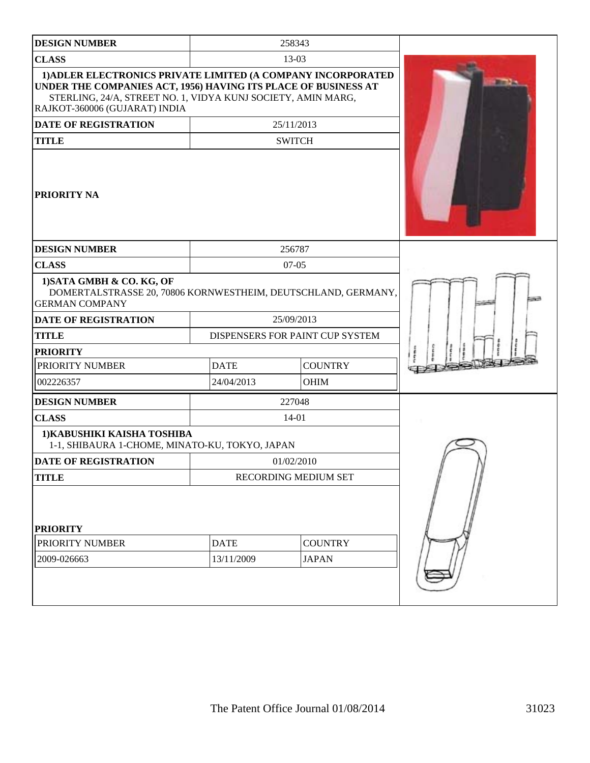| <b>DESIGN NUMBER</b>                                                                                                                                                                                                            |             | 258343                          |                     |
|---------------------------------------------------------------------------------------------------------------------------------------------------------------------------------------------------------------------------------|-------------|---------------------------------|---------------------|
| <b>CLASS</b>                                                                                                                                                                                                                    |             | 13-03                           |                     |
| 1) ADLER ELECTRONICS PRIVATE LIMITED (A COMPANY INCORPORATED<br>UNDER THE COMPANIES ACT, 1956) HAVING ITS PLACE OF BUSINESS AT<br>STERLING, 24/A, STREET NO. 1, VIDYA KUNJ SOCIETY, AMIN MARG,<br>RAJKOT-360006 (GUJARAT) INDIA |             |                                 | <b>Dilling Page</b> |
| <b>DATE OF REGISTRATION</b>                                                                                                                                                                                                     |             | 25/11/2013                      |                     |
| <b>TITLE</b>                                                                                                                                                                                                                    |             | <b>SWITCH</b>                   |                     |
| PRIORITY NA                                                                                                                                                                                                                     |             |                                 |                     |
| <b>DESIGN NUMBER</b>                                                                                                                                                                                                            |             | 256787                          |                     |
| <b>CLASS</b>                                                                                                                                                                                                                    |             | $07-05$                         |                     |
| 1) SATA GMBH & CO. KG, OF<br>DOMERTALSTRASSE 20, 70806 KORNWESTHEIM, DEUTSCHLAND, GERMANY,<br><b>GERMAN COMPANY</b>                                                                                                             |             |                                 |                     |
| DATE OF REGISTRATION                                                                                                                                                                                                            |             | 25/09/2013                      |                     |
| <b>TITLE</b>                                                                                                                                                                                                                    |             | DISPENSERS FOR PAINT CUP SYSTEM |                     |
| <b>PRIORITY</b>                                                                                                                                                                                                                 |             |                                 |                     |
| PRIORITY NUMBER                                                                                                                                                                                                                 | <b>DATE</b> | <b>COUNTRY</b>                  |                     |
| 002226357                                                                                                                                                                                                                       | 24/04/2013  | <b>OHIM</b>                     |                     |
| <b>DESIGN NUMBER</b>                                                                                                                                                                                                            |             | 227048                          |                     |
| <b>CLASS</b>                                                                                                                                                                                                                    |             | 14-01                           |                     |
| 1) KABUSHIKI KAISHA TOSHIBA<br>1-1, SHIBAURA 1-CHOME, MINATO-KU, TOKYO, JAPAN                                                                                                                                                   |             |                                 |                     |
| <b>DATE OF REGISTRATION</b>                                                                                                                                                                                                     |             | 01/02/2010                      |                     |
| <b>TITLE</b>                                                                                                                                                                                                                    |             | RECORDING MEDIUM SET            |                     |
| <b>PRIORITY</b>                                                                                                                                                                                                                 |             |                                 |                     |
| PRIORITY NUMBER                                                                                                                                                                                                                 | <b>DATE</b> | <b>COUNTRY</b>                  |                     |
| 2009-026663                                                                                                                                                                                                                     | 13/11/2009  | <b>JAPAN</b>                    |                     |
|                                                                                                                                                                                                                                 |             |                                 |                     |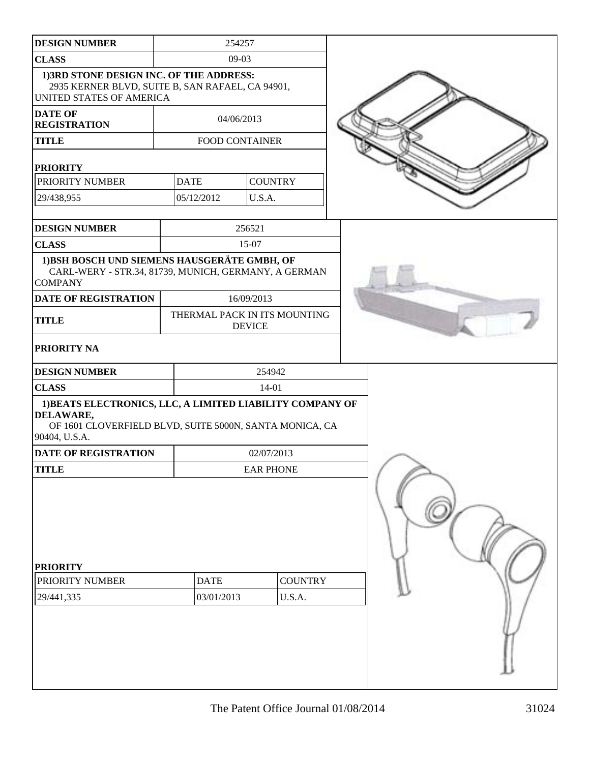| <b>DESIGN NUMBER</b>                                                                                                                               |             | 254257                    |                |                              |  |  |
|----------------------------------------------------------------------------------------------------------------------------------------------------|-------------|---------------------------|----------------|------------------------------|--|--|
| <b>CLASS</b>                                                                                                                                       |             | $09-03$                   |                |                              |  |  |
| 1)3RD STONE DESIGN INC. OF THE ADDRESS:<br>2935 KERNER BLVD, SUITE B, SAN RAFAEL, CA 94901,<br>UNITED STATES OF AMERICA                            |             |                           |                |                              |  |  |
| <b>DATE OF</b><br><b>REGISTRATION</b>                                                                                                              |             | 04/06/2013                |                |                              |  |  |
| <b>TITLE</b>                                                                                                                                       |             | FOOD CONTAINER            |                |                              |  |  |
| <b>PRIORITY</b>                                                                                                                                    |             |                           |                |                              |  |  |
| PRIORITY NUMBER                                                                                                                                    | <b>DATE</b> |                           | <b>COUNTRY</b> |                              |  |  |
| 29/438,955                                                                                                                                         |             | 05/12/2012                | U.S.A.         |                              |  |  |
| <b>DESIGN NUMBER</b>                                                                                                                               |             |                           | 256521         |                              |  |  |
| <b>CLASS</b>                                                                                                                                       |             |                           | 15-07          |                              |  |  |
| 1) BSH BOSCH UND SIEMENS HAUSGERÄTE GMBH, OF<br>CARL-WERY - STR.34, 81739, MUNICH, GERMANY, A GERMAN<br><b>COMPANY</b>                             |             |                           |                |                              |  |  |
| DATE OF REGISTRATION                                                                                                                               |             |                           | 16/09/2013     |                              |  |  |
| <b>TITLE</b>                                                                                                                                       |             |                           | <b>DEVICE</b>  | THERMAL PACK IN ITS MOUNTING |  |  |
| PRIORITY NA                                                                                                                                        |             |                           |                |                              |  |  |
| <b>DESIGN NUMBER</b>                                                                                                                               |             | 254942                    |                |                              |  |  |
| <b>CLASS</b>                                                                                                                                       |             |                           | $14 - 01$      |                              |  |  |
| 1) BEATS ELECTRONICS, LLC, A LIMITED LIABILITY COMPANY OF<br>DELAWARE,<br>OF 1601 CLOVERFIELD BLVD, SUITE 5000N, SANTA MONICA, CA<br>90404, U.S.A. |             |                           |                |                              |  |  |
| DATE OF REGISTRATION                                                                                                                               |             |                           | 02/07/2013     |                              |  |  |
| TITLE                                                                                                                                              |             | <b>EAR PHONE</b>          |                |                              |  |  |
| <b>PRIORITY</b><br>PRIORITY NUMBER<br>29/441,335                                                                                                   |             | <b>DATE</b><br>03/01/2013 |                | <b>COUNTRY</b><br>U.S.A.     |  |  |
|                                                                                                                                                    |             |                           |                |                              |  |  |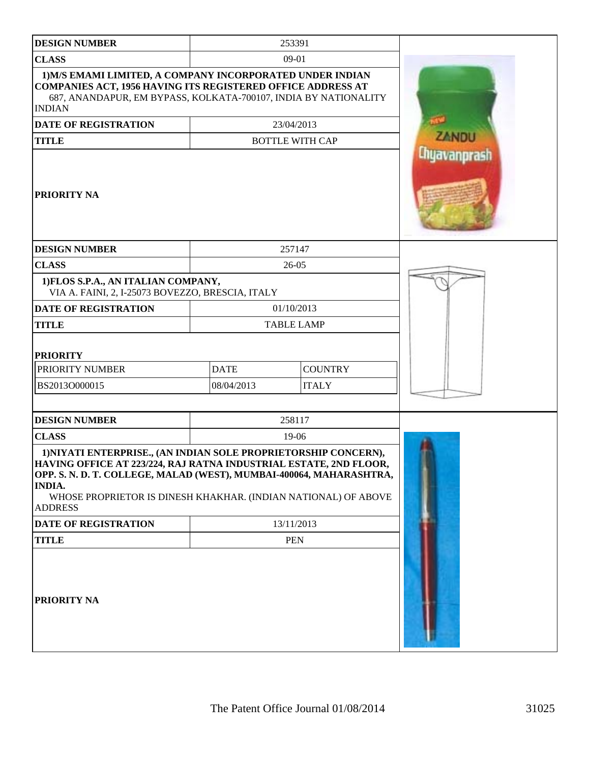| <b>DESIGN NUMBER</b>                                                                                                                                                                                                                                                                                             |                           | 253391                         |              |
|------------------------------------------------------------------------------------------------------------------------------------------------------------------------------------------------------------------------------------------------------------------------------------------------------------------|---------------------------|--------------------------------|--------------|
| <b>CLASS</b>                                                                                                                                                                                                                                                                                                     |                           | 09-01                          |              |
| 1) M/S EMAMI LIMITED, A COMPANY INCORPORATED UNDER INDIAN<br>COMPANIES ACT, 1956 HAVING ITS REGISTERED OFFICE ADDRESS AT<br>687, ANANDAPUR, EM BYPASS, KOLKATA-700107, INDIA BY NATIONALITY<br><b>INDIAN</b>                                                                                                     |                           |                                |              |
| <b>DATE OF REGISTRATION</b>                                                                                                                                                                                                                                                                                      |                           | 23/04/2013                     |              |
| <b>TITLE</b>                                                                                                                                                                                                                                                                                                     |                           | <b>BOTTLE WITH CAP</b>         | <b>ZANDU</b> |
| <b>PRIORITY NA</b>                                                                                                                                                                                                                                                                                               |                           |                                | Chyavanprash |
| <b>DESIGN NUMBER</b>                                                                                                                                                                                                                                                                                             |                           | 257147                         |              |
| <b>CLASS</b>                                                                                                                                                                                                                                                                                                     |                           | $26 - 05$                      |              |
| 1) FLOS S.P.A., AN ITALIAN COMPANY,<br>VIA A. FAINI, 2, I-25073 BOVEZZO, BRESCIA, ITALY                                                                                                                                                                                                                          |                           |                                |              |
| <b>DATE OF REGISTRATION</b>                                                                                                                                                                                                                                                                                      |                           | 01/10/2013                     |              |
| <b>TITLE</b>                                                                                                                                                                                                                                                                                                     | <b>TABLE LAMP</b>         |                                |              |
| <b>PRIORITY</b><br>PRIORITY NUMBER<br>BS2013O000015                                                                                                                                                                                                                                                              | <b>DATE</b><br>08/04/2013 | <b>COUNTRY</b><br><b>ITALY</b> |              |
| <b>DESIGN NUMBER</b>                                                                                                                                                                                                                                                                                             |                           | 258117                         |              |
| <b>CLASS</b>                                                                                                                                                                                                                                                                                                     |                           | 19-06                          |              |
| 1) NIYATI ENTERPRISE., (AN INDIAN SOLE PROPRIETORSHIP CONCERN),<br>HAVING OFFICE AT 223/224, RAJ RATNA INDUSTRIAL ESTATE, 2ND FLOOR,<br>OPP. S. N. D. T. COLLEGE, MALAD (WEST), MUMBAI-400064, MAHARASHTRA,<br><b>INDIA.</b><br>WHOSE PROPRIETOR IS DINESH KHAKHAR. (INDIAN NATIONAL) OF ABOVE<br><b>ADDRESS</b> |                           |                                |              |
| DATE OF REGISTRATION                                                                                                                                                                                                                                                                                             |                           | 13/11/2013                     |              |
| <b>TITLE</b>                                                                                                                                                                                                                                                                                                     |                           | <b>PEN</b>                     |              |
| <b>PRIORITY NA</b>                                                                                                                                                                                                                                                                                               |                           |                                |              |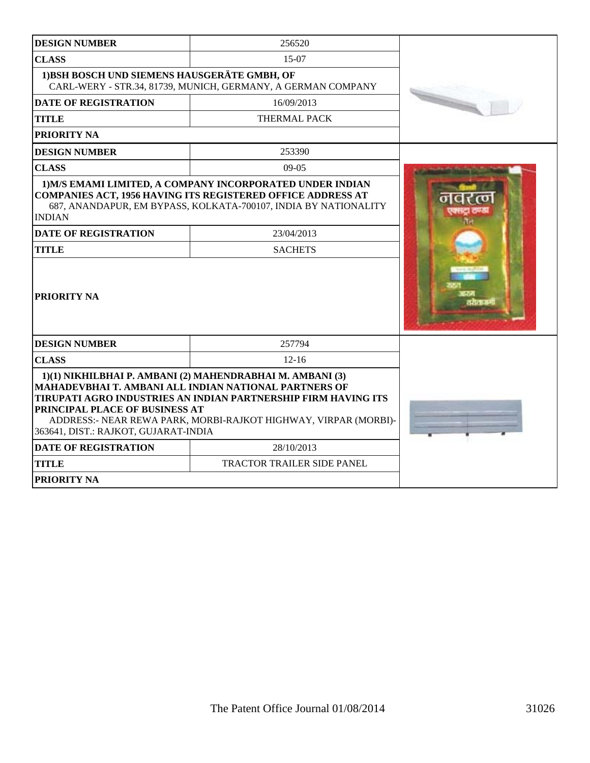| <b>DESIGN NUMBER</b>                                                   | 256520                                                                                                                                                                                                                                                   |  |
|------------------------------------------------------------------------|----------------------------------------------------------------------------------------------------------------------------------------------------------------------------------------------------------------------------------------------------------|--|
| <b>CLASS</b>                                                           | 15-07                                                                                                                                                                                                                                                    |  |
| 1) BSH BOSCH UND SIEMENS HAUSGERÄTE GMBH, OF                           | CARL-WERY - STR.34, 81739, MUNICH, GERMANY, A GERMAN COMPANY                                                                                                                                                                                             |  |
| <b>DATE OF REGISTRATION</b>                                            | 16/09/2013                                                                                                                                                                                                                                               |  |
| <b>TITLE</b>                                                           | <b>THERMAL PACK</b>                                                                                                                                                                                                                                      |  |
| PRIORITY NA                                                            |                                                                                                                                                                                                                                                          |  |
| <b>DESIGN NUMBER</b>                                                   | 253390                                                                                                                                                                                                                                                   |  |
| <b>CLASS</b>                                                           | $09-05$                                                                                                                                                                                                                                                  |  |
| <b>INDIAN</b><br><b>DATE OF REGISTRATION</b>                           | <b>COMPANIES ACT, 1956 HAVING ITS REGISTERED OFFICE ADDRESS AT</b><br>687, ANANDAPUR, EM BYPASS, KOLKATA-700107, INDIA BY NATIONALITY<br>23/04/2013                                                                                                      |  |
| <b>TITLE</b>                                                           | <b>SACHETS</b>                                                                                                                                                                                                                                           |  |
| <b>PRIORITY NA</b>                                                     |                                                                                                                                                                                                                                                          |  |
| <b>DESIGN NUMBER</b>                                                   | 257794                                                                                                                                                                                                                                                   |  |
| <b>CLASS</b>                                                           | $12 - 16$                                                                                                                                                                                                                                                |  |
| PRINCIPAL PLACE OF BUSINESS AT<br>363641, DIST.: RAJKOT, GUJARAT-INDIA | 1)(1) NIKHILBHAI P. AMBANI (2) MAHENDRABHAI M. AMBANI (3)<br>MAHADEVBHAI T. AMBANI ALL INDIAN NATIONAL PARTNERS OF<br>TIRUPATI AGRO INDUSTRIES AN INDIAN PARTNERSHIP FIRM HAVING ITS<br>ADDRESS: - NEAR REWA PARK, MORBI-RAJKOT HIGHWAY, VIRPAR (MORBI)- |  |
| <b>DATE OF REGISTRATION</b>                                            | 28/10/2013                                                                                                                                                                                                                                               |  |
| <b>TITLE</b>                                                           | TRACTOR TRAILER SIDE PANEL                                                                                                                                                                                                                               |  |
| <b>PRIORITY NA</b>                                                     |                                                                                                                                                                                                                                                          |  |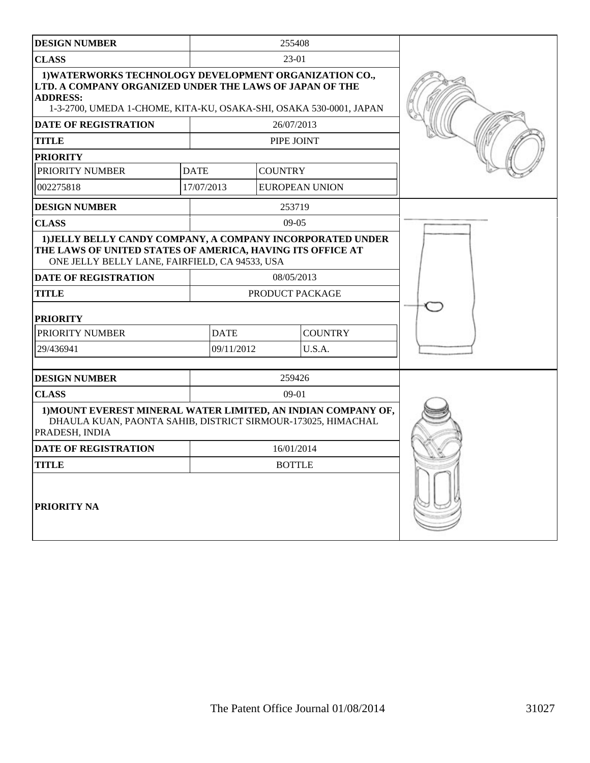| <b>DESIGN NUMBER</b>                                                                                                                                                                                       | 255408          |                |                       |  |
|------------------------------------------------------------------------------------------------------------------------------------------------------------------------------------------------------------|-----------------|----------------|-----------------------|--|
| <b>CLASS</b>                                                                                                                                                                                               | 23-01           |                |                       |  |
| 1) WATERWORKS TECHNOLOGY DEVELOPMENT ORGANIZATION CO.,<br>LTD. A COMPANY ORGANIZED UNDER THE LAWS OF JAPAN OF THE<br><b>ADDRESS:</b><br>1-3-2700, UMEDA 1-CHOME, KITA-KU, OSAKA-SHI, OSAKA 530-0001, JAPAN |                 |                |                       |  |
| <b>DATE OF REGISTRATION</b>                                                                                                                                                                                |                 | 26/07/2013     |                       |  |
| TITLE                                                                                                                                                                                                      |                 | PIPE JOINT     |                       |  |
| <b>PRIORITY</b>                                                                                                                                                                                            |                 |                |                       |  |
| PRIORITY NUMBER                                                                                                                                                                                            | <b>DATE</b>     | <b>COUNTRY</b> |                       |  |
| 002275818                                                                                                                                                                                                  | 17/07/2013      |                | <b>EUROPEAN UNION</b> |  |
| <b>DESIGN NUMBER</b>                                                                                                                                                                                       |                 | 253719         |                       |  |
| <b>CLASS</b>                                                                                                                                                                                               |                 | $09-05$        |                       |  |
| 1) JELLY BELLY CANDY COMPANY, A COMPANY INCORPORATED UNDER<br>THE LAWS OF UNITED STATES OF AMERICA, HAVING ITS OFFICE AT<br>ONE JELLY BELLY LANE, FAIRFIELD, CA 94533, USA                                 |                 |                |                       |  |
| <b>DATE OF REGISTRATION</b>                                                                                                                                                                                | 08/05/2013      |                |                       |  |
| <b>TITLE</b>                                                                                                                                                                                               | PRODUCT PACKAGE |                |                       |  |
| <b>PRIORITY</b>                                                                                                                                                                                            |                 |                |                       |  |
| PRIORITY NUMBER                                                                                                                                                                                            | <b>DATE</b>     |                | <b>COUNTRY</b>        |  |
| 29/436941                                                                                                                                                                                                  | 09/11/2012      |                | U.S.A.                |  |
|                                                                                                                                                                                                            |                 |                |                       |  |
| <b>DESIGN NUMBER</b>                                                                                                                                                                                       | 259426          |                |                       |  |
| <b>CLASS</b>                                                                                                                                                                                               |                 | $09-01$        |                       |  |
| 1) MOUNT EVEREST MINERAL WATER LIMITED, AN INDIAN COMPANY OF,<br>DHAULA KUAN, PAONTA SAHIB, DISTRICT SIRMOUR-173025, HIMACHAL<br>PRADESH, INDIA                                                            |                 |                |                       |  |
| <b>DATE OF REGISTRATION</b>                                                                                                                                                                                | 16/01/2014      |                |                       |  |
| TITLE                                                                                                                                                                                                      | <b>BOTTLE</b>   |                |                       |  |
| <b>PRIORITY NA</b>                                                                                                                                                                                         |                 |                |                       |  |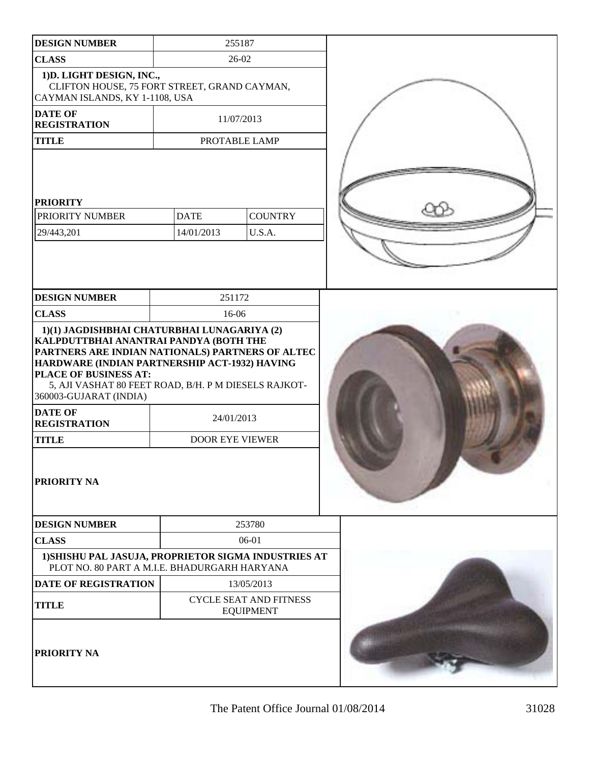| <b>DESIGN NUMBER</b>                                                                                                                                                                                                                                                     |                           | 255187                                            |  |
|--------------------------------------------------------------------------------------------------------------------------------------------------------------------------------------------------------------------------------------------------------------------------|---------------------------|---------------------------------------------------|--|
| <b>CLASS</b>                                                                                                                                                                                                                                                             |                           | $26-02$                                           |  |
| 1) D. LIGHT DESIGN, INC.,<br>CLIFTON HOUSE, 75 FORT STREET, GRAND CAYMAN,<br>CAYMAN ISLANDS, KY 1-1108, USA                                                                                                                                                              |                           |                                                   |  |
| <b>DATE OF</b><br><b>REGISTRATION</b>                                                                                                                                                                                                                                    |                           | 11/07/2013                                        |  |
| <b>TITLE</b>                                                                                                                                                                                                                                                             |                           | PROTABLE LAMP                                     |  |
| <b>PRIORITY</b><br>PRIORITY NUMBER<br>29/443,201                                                                                                                                                                                                                         | <b>DATE</b><br>14/01/2013 | <b>COUNTRY</b><br>U.S.A.                          |  |
| <b>DESIGN NUMBER</b>                                                                                                                                                                                                                                                     | 251172                    |                                                   |  |
| <b>CLASS</b>                                                                                                                                                                                                                                                             | 16-06                     |                                                   |  |
| KALPDUTTBHAI ANANTRAI PANDYA (BOTH THE<br>PARTNERS ARE INDIAN NATIONALS) PARTNERS OF ALTEC<br>HARDWARE (INDIAN PARTNERSHIP ACT-1932) HAVING<br>PLACE OF BUSINESS AT:<br>5, AJI VASHAT 80 FEET ROAD, B/H. P M DIESELS RAJKOT-<br>360003-GUJARAT (INDIA)<br><b>DATE OF</b> | 24/01/2013                |                                                   |  |
| <b>REGISTRATION</b>                                                                                                                                                                                                                                                      |                           |                                                   |  |
| <b>TITLE</b>                                                                                                                                                                                                                                                             | <b>DOOR EYE VIEWER</b>    |                                                   |  |
| <b>PRIORITY NA</b>                                                                                                                                                                                                                                                       |                           |                                                   |  |
| <b>DESIGN NUMBER</b>                                                                                                                                                                                                                                                     |                           | 253780                                            |  |
| <b>CLASS</b>                                                                                                                                                                                                                                                             |                           | 06-01                                             |  |
| 1) SHISHU PAL JASUJA, PROPRIETOR SIGMA INDUSTRIES AT<br>PLOT NO. 80 PART A M.I.E. BHADURGARH HARYANA                                                                                                                                                                     |                           |                                                   |  |
| DATE OF REGISTRATION                                                                                                                                                                                                                                                     |                           | 13/05/2013                                        |  |
| <b>TITLE</b>                                                                                                                                                                                                                                                             |                           | <b>CYCLE SEAT AND FITNESS</b><br><b>EQUIPMENT</b> |  |
| PRIORITY NA                                                                                                                                                                                                                                                              |                           |                                                   |  |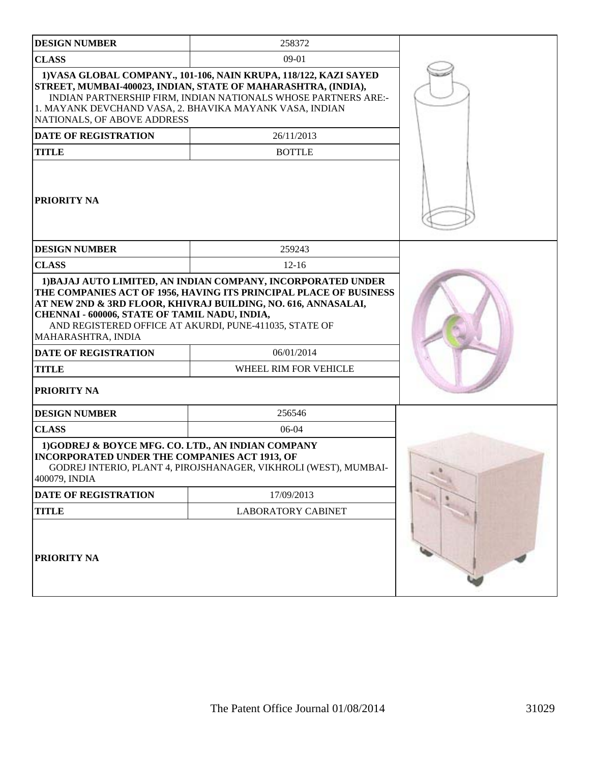| <b>DESIGN NUMBER</b>                                                                                                                                                                                                                                                                               | 258372                                                           |  |
|----------------------------------------------------------------------------------------------------------------------------------------------------------------------------------------------------------------------------------------------------------------------------------------------------|------------------------------------------------------------------|--|
| <b>CLASS</b>                                                                                                                                                                                                                                                                                       | $09-01$                                                          |  |
| 1) VASA GLOBAL COMPANY., 101-106, NAIN KRUPA, 118/122, KAZI SAYED<br>STREET, MUMBAI-400023, INDIAN, STATE OF MAHARASHTRA, (INDIA),<br>INDIAN PARTNERSHIP FIRM, INDIAN NATIONALS WHOSE PARTNERS ARE:-<br>1. MAYANK DEVCHAND VASA, 2. BHAVIKA MAYANK VASA, INDIAN<br>NATIONALS, OF ABOVE ADDRESS     |                                                                  |  |
| <b>DATE OF REGISTRATION</b>                                                                                                                                                                                                                                                                        | 26/11/2013                                                       |  |
| <b>TITLE</b>                                                                                                                                                                                                                                                                                       | <b>BOTTLE</b>                                                    |  |
| <b>PRIORITY NA</b>                                                                                                                                                                                                                                                                                 |                                                                  |  |
| <b>DESIGN NUMBER</b>                                                                                                                                                                                                                                                                               | 259243                                                           |  |
| <b>CLASS</b>                                                                                                                                                                                                                                                                                       | $12 - 16$                                                        |  |
| THE COMPANIES ACT OF 1956, HAVING ITS PRINCIPAL PLACE OF BUSINESS<br>AT NEW 2ND & 3RD FLOOR, KHIVRAJ BUILDING, NO. 616, ANNASALAI,<br>CHENNAI - 600006, STATE OF TAMIL NADU, INDIA,<br>AND REGISTERED OFFICE AT AKURDI, PUNE-411035, STATE OF<br>MAHARASHTRA, INDIA<br><b>DATE OF REGISTRATION</b> |                                                                  |  |
|                                                                                                                                                                                                                                                                                                    | 06/01/2014<br>WHEEL RIM FOR VEHICLE                              |  |
| <b>TITLE</b><br>PRIORITY NA                                                                                                                                                                                                                                                                        |                                                                  |  |
| <b>DESIGN NUMBER</b>                                                                                                                                                                                                                                                                               | 256546                                                           |  |
| <b>CLASS</b>                                                                                                                                                                                                                                                                                       | $06-04$                                                          |  |
| 1)GODREJ & BOYCE MFG. CO. LTD., AN INDIAN COMPANY<br><b>INCORPORATED UNDER THE COMPANIES ACT 1913, OF</b><br>400079, INDIA                                                                                                                                                                         | GODREJ INTERIO, PLANT 4, PIROJSHANAGER, VIKHROLI (WEST), MUMBAI- |  |
| DATE OF REGISTRATION                                                                                                                                                                                                                                                                               | 17/09/2013                                                       |  |
| <b>TITLE</b>                                                                                                                                                                                                                                                                                       | <b>LABORATORY CABINET</b>                                        |  |
| <b>PRIORITY NA</b>                                                                                                                                                                                                                                                                                 |                                                                  |  |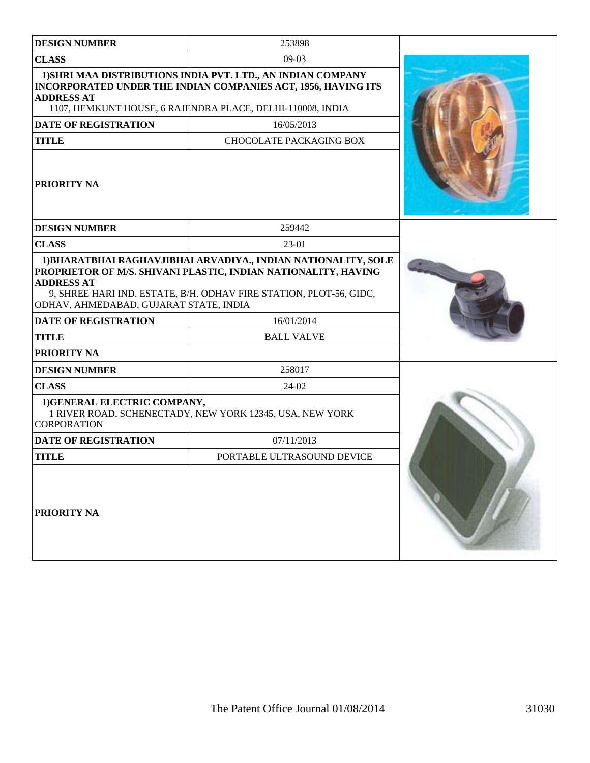| <b>DESIGN NUMBER</b>                                                                                                             | 253898                                                                                                                                                                                                                                    |  |
|----------------------------------------------------------------------------------------------------------------------------------|-------------------------------------------------------------------------------------------------------------------------------------------------------------------------------------------------------------------------------------------|--|
| <b>CLASS</b>                                                                                                                     | $09-03$                                                                                                                                                                                                                                   |  |
| <b>ADDRESS AT</b>                                                                                                                | 1) SHRI MAA DISTRIBUTIONS INDIA PVT. LTD., AN INDIAN COMPANY<br>INCORPORATED UNDER THE INDIAN COMPANIES ACT, 1956, HAVING ITS<br>1107, HEMKUNT HOUSE, 6 RAJENDRA PLACE, DELHI-110008, INDIA                                               |  |
| <b>DATE OF REGISTRATION</b>                                                                                                      | 16/05/2013                                                                                                                                                                                                                                |  |
| <b>TITLE</b>                                                                                                                     | <b>CHOCOLATE PACKAGING BOX</b>                                                                                                                                                                                                            |  |
| <b>PRIORITY NA</b>                                                                                                               |                                                                                                                                                                                                                                           |  |
| <b>DESIGN NUMBER</b>                                                                                                             | 259442                                                                                                                                                                                                                                    |  |
| <b>CLASS</b>                                                                                                                     | 23-01                                                                                                                                                                                                                                     |  |
| <b>ADDRESS AT</b><br>ODHAV, AHMEDABAD, GUJARAT STATE, INDIA<br><b>DATE OF REGISTRATION</b><br><b>TITLE</b><br><b>PRIORITY NA</b> | 1) BHARATBHAI RAGHAVJIBHAI ARVADIYA., INDIAN NATIONALITY, SOLE<br>PROPRIETOR OF M/S. SHIVANI PLASTIC, INDIAN NATIONALITY, HAVING<br>9, SHREE HARI IND. ESTATE, B/H. ODHAV FIRE STATION, PLOT-56, GIDC,<br>16/01/2014<br><b>BALL VALVE</b> |  |
| <b>DESIGN NUMBER</b>                                                                                                             | 258017                                                                                                                                                                                                                                    |  |
| <b>CLASS</b>                                                                                                                     | 24-02                                                                                                                                                                                                                                     |  |
| 1) GENERAL ELECTRIC COMPANY,<br><b>CORPORATION</b>                                                                               | 1 RIVER ROAD, SCHENECTADY, NEW YORK 12345, USA, NEW YORK                                                                                                                                                                                  |  |
| <b>DATE OF REGISTRATION</b>                                                                                                      | 07/11/2013                                                                                                                                                                                                                                |  |
| <b>TITLE</b>                                                                                                                     | PORTABLE ULTRASOUND DEVICE                                                                                                                                                                                                                |  |
| <b>PRIORITY NA</b>                                                                                                               |                                                                                                                                                                                                                                           |  |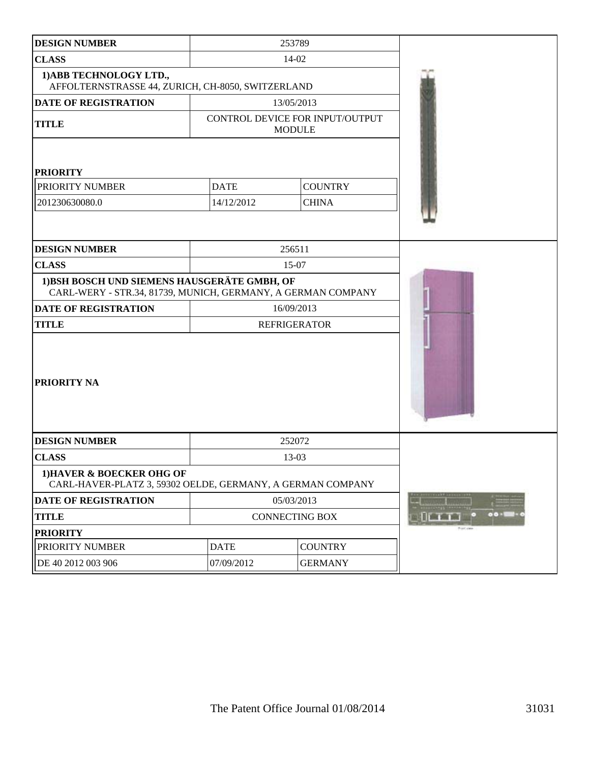| <b>DESIGN NUMBER</b>                                                                                         |             | 253789                                           |             |
|--------------------------------------------------------------------------------------------------------------|-------------|--------------------------------------------------|-------------|
| <b>CLASS</b>                                                                                                 |             | 14-02                                            |             |
| 1) ABB TECHNOLOGY LTD.,<br>AFFOLTERNSTRASSE 44, ZURICH, CH-8050, SWITZERLAND                                 |             |                                                  |             |
| DATE OF REGISTRATION                                                                                         |             | 13/05/2013                                       |             |
| <b>TITLE</b>                                                                                                 |             | CONTROL DEVICE FOR INPUT/OUTPUT<br><b>MODULE</b> |             |
| <b>PRIORITY</b>                                                                                              |             |                                                  |             |
| PRIORITY NUMBER                                                                                              | <b>DATE</b> | <b>COUNTRY</b>                                   |             |
| 201230630080.0                                                                                               | 14/12/2012  | <b>CHINA</b>                                     |             |
|                                                                                                              |             |                                                  |             |
| <b>DESIGN NUMBER</b>                                                                                         |             | 256511                                           |             |
| <b>CLASS</b>                                                                                                 |             | 15-07                                            |             |
| 1) BSH BOSCH UND SIEMENS HAUSGERÄTE GMBH, OF<br>CARL-WERY - STR.34, 81739, MUNICH, GERMANY, A GERMAN COMPANY |             |                                                  |             |
| <b>DATE OF REGISTRATION</b>                                                                                  |             | 16/09/2013                                       |             |
| <b>TITLE</b>                                                                                                 |             | <b>REFRIGERATOR</b>                              |             |
| <b>PRIORITY NA</b>                                                                                           |             |                                                  |             |
| <b>DESIGN NUMBER</b>                                                                                         |             | 252072                                           |             |
| <b>CLASS</b>                                                                                                 |             | 13-03                                            |             |
| 1) HAVER & BOECKER OHG OF<br>CARL-HAVER-PLATZ 3, 59302 OELDE, GERMANY, A GERMAN COMPANY                      |             |                                                  |             |
| DATE OF REGISTRATION                                                                                         |             | 05/03/2013                                       |             |
| <b>TITLE</b>                                                                                                 |             | <b>CONNECTING BOX</b>                            |             |
| <b>PRIORITY</b>                                                                                              |             |                                                  | Pront clear |
| PRIORITY NUMBER                                                                                              | <b>DATE</b> | <b>COUNTRY</b>                                   |             |
| DE 40 2012 003 906                                                                                           | 07/09/2012  | <b>GERMANY</b>                                   |             |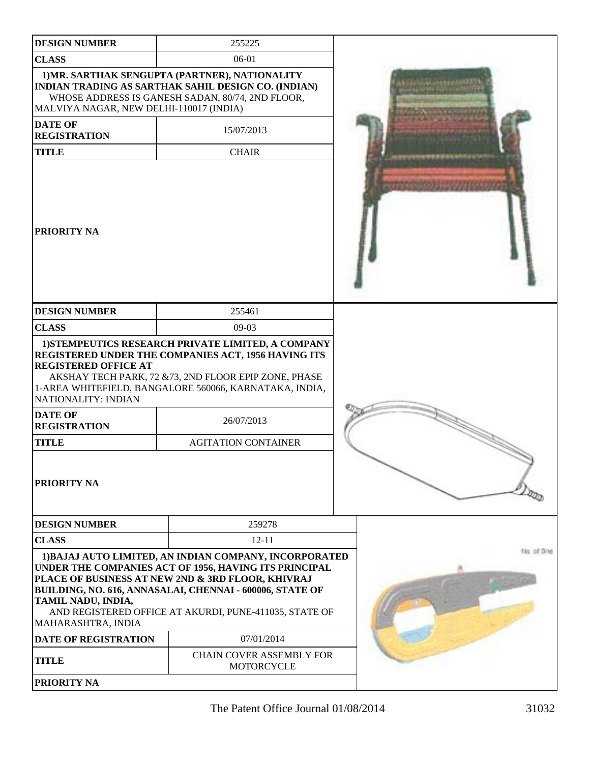| <b>DESIGN NUMBER</b>                                                                        | 255225                                                                                                                                                                                                                                                                                     |            |
|---------------------------------------------------------------------------------------------|--------------------------------------------------------------------------------------------------------------------------------------------------------------------------------------------------------------------------------------------------------------------------------------------|------------|
| <b>CLASS</b>                                                                                | 06-01                                                                                                                                                                                                                                                                                      |            |
| MALVIYA NAGAR, NEW DELHI-110017 (INDIA)                                                     | 1) MR. SARTHAK SENGUPTA (PARTNER), NATIONALITY<br><b>INDIAN TRADING AS SARTHAK SAHIL DESIGN CO. (INDIAN)</b><br>WHOSE ADDRESS IS GANESH SADAN, 80/74, 2ND FLOOR,                                                                                                                           |            |
| <b>DATE OF</b><br><b>REGISTRATION</b>                                                       | 15/07/2013                                                                                                                                                                                                                                                                                 |            |
| <b>TITLE</b>                                                                                | <b>CHAIR</b>                                                                                                                                                                                                                                                                               |            |
| <b>PRIORITY NA</b>                                                                          |                                                                                                                                                                                                                                                                                            |            |
| <b>DESIGN NUMBER</b>                                                                        | 255461                                                                                                                                                                                                                                                                                     |            |
| <b>CLASS</b>                                                                                | $09-03$                                                                                                                                                                                                                                                                                    |            |
| <b>REGISTERED OFFICE AT</b><br>NATIONALITY: INDIAN<br><b>DATE OF</b><br><b>REGISTRATION</b> | 1) STEMPEUTICS RESEARCH PRIVATE LIMITED, A COMPANY<br>REGISTERED UNDER THE COMPANIES ACT, 1956 HAVING ITS<br>AKSHAY TECH PARK, 72 & 73, 2ND FLOOR EPIP ZONE, PHASE<br>1-AREA WHITEFIELD, BANGALORE 560066, KARNATAKA, INDIA,<br>26/07/2013                                                 |            |
| <b>TITLE</b>                                                                                | <b>AGITATION CONTAINER</b>                                                                                                                                                                                                                                                                 |            |
| <b>PRIORITY NA</b>                                                                          |                                                                                                                                                                                                                                                                                            |            |
| <b>DESIGN NUMBER</b>                                                                        | 259278                                                                                                                                                                                                                                                                                     |            |
| <b>CLASS</b>                                                                                | $12 - 11$                                                                                                                                                                                                                                                                                  |            |
| TAMIL NADU, INDIA,<br>MAHARASHTRA, INDIA                                                    | 1) BAJAJ AUTO LIMITED, AN INDIAN COMPANY, INCORPORATED<br>UNDER THE COMPANIES ACT OF 1956, HAVING ITS PRINCIPAL<br>PLACE OF BUSINESS AT NEW 2ND & 3RD FLOOR, KHIVRAJ<br>BUILDING, NO. 616, ANNASALAI, CHENNAI - 600006, STATE OF<br>AND REGISTERED OFFICE AT AKURDI, PUNE-411035, STATE OF | No. of She |
| DATE OF REGISTRATION                                                                        | 07/01/2014                                                                                                                                                                                                                                                                                 |            |
| <b>TITLE</b>                                                                                | <b>CHAIN COVER ASSEMBLY FOR</b><br>MOTORCYCLE                                                                                                                                                                                                                                              |            |
| <b>PRIORITY NA</b>                                                                          |                                                                                                                                                                                                                                                                                            |            |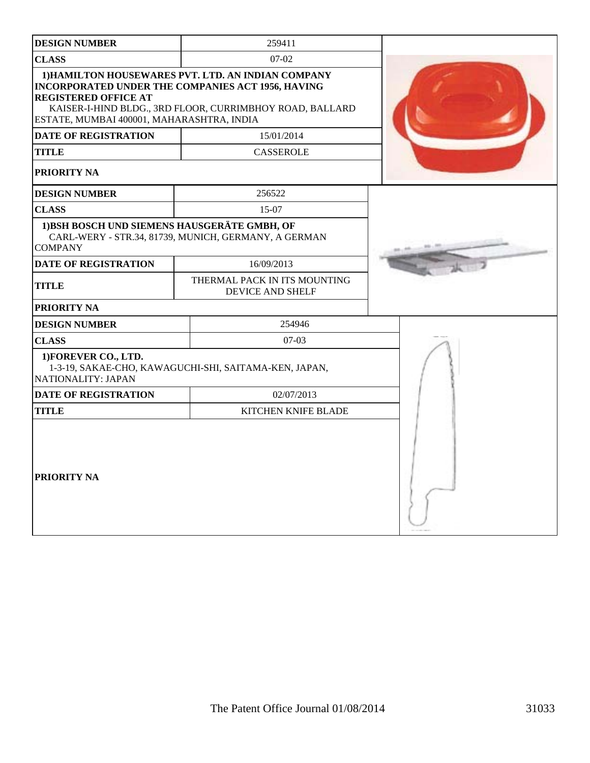| <b>DESIGN NUMBER</b>                                                     | 259411                                                                                                                                                                     |  |
|--------------------------------------------------------------------------|----------------------------------------------------------------------------------------------------------------------------------------------------------------------------|--|
| <b>CLASS</b>                                                             | $07-02$                                                                                                                                                                    |  |
| <b>REGISTERED OFFICE AT</b><br>ESTATE, MUMBAI 400001, MAHARASHTRA, INDIA | 1) HAMILTON HOUSEWARES PVT. LTD. AN INDIAN COMPANY<br><b>INCORPORATED UNDER THE COMPANIES ACT 1956, HAVING</b><br>KAISER-I-HIND BLDG., 3RD FLOOR, CURRIMBHOY ROAD, BALLARD |  |
| <b>DATE OF REGISTRATION</b>                                              | 15/01/2014                                                                                                                                                                 |  |
| <b>TITLE</b>                                                             | <b>CASSEROLE</b>                                                                                                                                                           |  |
| PRIORITY NA                                                              |                                                                                                                                                                            |  |
| <b>DESIGN NUMBER</b>                                                     | 256522                                                                                                                                                                     |  |
| <b>CLASS</b>                                                             | 15-07                                                                                                                                                                      |  |
| 1) BSH BOSCH UND SIEMENS HAUSGERÄTE GMBH, OF<br><b>COMPANY</b>           | CARL-WERY - STR.34, 81739, MUNICH, GERMANY, A GERMAN                                                                                                                       |  |
| <b>DATE OF REGISTRATION</b>                                              | 16/09/2013                                                                                                                                                                 |  |
| <b>TITLE</b>                                                             | THERMAL PACK IN ITS MOUNTING<br><b>DEVICE AND SHELF</b>                                                                                                                    |  |
| PRIORITY NA                                                              |                                                                                                                                                                            |  |
| <b>DESIGN NUMBER</b>                                                     | 254946                                                                                                                                                                     |  |
| <b>CLASS</b>                                                             | $07-03$                                                                                                                                                                    |  |
| 1) FOREVER CO., LTD.<br>NATIONALITY: JAPAN                               | 1-3-19, SAKAE-CHO, KAWAGUCHI-SHI, SAITAMA-KEN, JAPAN,                                                                                                                      |  |
| <b>DATE OF REGISTRATION</b>                                              | 02/07/2013                                                                                                                                                                 |  |
| <b>TITLE</b>                                                             | <b>KITCHEN KNIFE BLADE</b>                                                                                                                                                 |  |
| PRIORITY NA                                                              |                                                                                                                                                                            |  |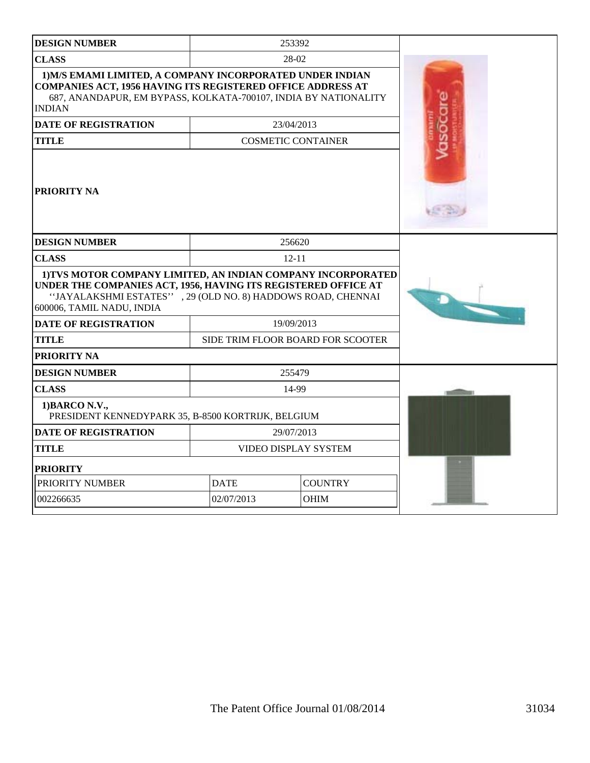| <b>DESIGN NUMBER</b>                                                                                                                                                                                                       |                               | 253392                            |  |
|----------------------------------------------------------------------------------------------------------------------------------------------------------------------------------------------------------------------------|-------------------------------|-----------------------------------|--|
| <b>CLASS</b>                                                                                                                                                                                                               |                               | 28-02                             |  |
| 1) M/S EMAMI LIMITED, A COMPANY INCORPORATED UNDER INDIAN<br><b>COMPANIES ACT, 1956 HAVING ITS REGISTERED OFFICE ADDRESS AT</b><br>687, ANANDAPUR, EM BYPASS, KOLKATA-700107, INDIA BY NATIONALITY<br><b>INDIAN</b>        |                               |                                   |  |
| <b>DATE OF REGISTRATION</b>                                                                                                                                                                                                |                               | 23/04/2013                        |  |
| <b>TITLE</b>                                                                                                                                                                                                               |                               | <b>COSMETIC CONTAINER</b>         |  |
| <b>PRIORITY NA</b>                                                                                                                                                                                                         |                               |                                   |  |
| <b>DESIGN NUMBER</b>                                                                                                                                                                                                       |                               | 256620                            |  |
| <b>CLASS</b>                                                                                                                                                                                                               |                               | $12 - 11$                         |  |
| 1) TVS MOTOR COMPANY LIMITED, AN INDIAN COMPANY INCORPORATED<br>UNDER THE COMPANIES ACT, 1956, HAVING ITS REGISTERED OFFICE AT<br>"JAYALAKSHMI ESTATES", 29 (OLD NO. 8) HADDOWS ROAD, CHENNAI<br>600006, TAMIL NADU, INDIA |                               |                                   |  |
| <b>DATE OF REGISTRATION</b>                                                                                                                                                                                                |                               | 19/09/2013                        |  |
| <b>TITLE</b>                                                                                                                                                                                                               |                               | SIDE TRIM FLOOR BOARD FOR SCOOTER |  |
| <b>PRIORITY NA</b>                                                                                                                                                                                                         |                               |                                   |  |
| <b>DESIGN NUMBER</b>                                                                                                                                                                                                       |                               | 255479                            |  |
| <b>CLASS</b>                                                                                                                                                                                                               |                               | 14-99                             |  |
| 1) BARCO N.V.,<br>PRESIDENT KENNEDYPARK 35, B-8500 KORTRIJK, BELGIUM                                                                                                                                                       |                               |                                   |  |
| <b>DATE OF REGISTRATION</b>                                                                                                                                                                                                |                               | 29/07/2013                        |  |
| <b>TITLE</b>                                                                                                                                                                                                               | <b>VIDEO DISPLAY SYSTEM</b>   |                                   |  |
| <b>PRIORITY</b>                                                                                                                                                                                                            |                               |                                   |  |
| PRIORITY NUMBER                                                                                                                                                                                                            | <b>DATE</b><br><b>COUNTRY</b> |                                   |  |
| 002266635                                                                                                                                                                                                                  | 02/07/2013                    | <b>OHIM</b>                       |  |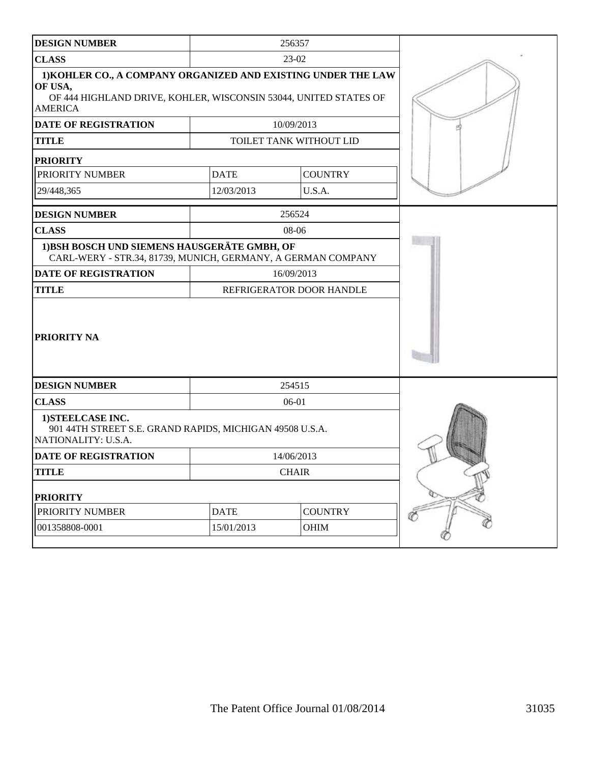| <b>DESIGN NUMBER</b>                                                                                                                                           |              | 256357                   |   |
|----------------------------------------------------------------------------------------------------------------------------------------------------------------|--------------|--------------------------|---|
| <b>CLASS</b>                                                                                                                                                   |              | 23-02                    |   |
| 1) KOHLER CO., A COMPANY ORGANIZED AND EXISTING UNDER THE LAW<br>OF USA,<br>OF 444 HIGHLAND DRIVE, KOHLER, WISCONSIN 53044, UNITED STATES OF<br><b>AMERICA</b> |              |                          |   |
| <b>DATE OF REGISTRATION</b>                                                                                                                                    |              | 10/09/2013               |   |
| <b>TITLE</b>                                                                                                                                                   |              | TOILET TANK WITHOUT LID  |   |
| <b>PRIORITY</b>                                                                                                                                                |              |                          |   |
| PRIORITY NUMBER                                                                                                                                                | <b>DATE</b>  | <b>COUNTRY</b>           |   |
| 29/448,365                                                                                                                                                     | 12/03/2013   | U.S.A.                   |   |
| <b>DESIGN NUMBER</b>                                                                                                                                           |              | 256524                   |   |
| <b>CLASS</b>                                                                                                                                                   |              | 08-06                    |   |
| 1) BSH BOSCH UND SIEMENS HAUSGERÄTE GMBH, OF<br>CARL-WERY - STR.34, 81739, MUNICH, GERMANY, A GERMAN COMPANY                                                   |              |                          |   |
| <b>DATE OF REGISTRATION</b>                                                                                                                                    | 16/09/2013   |                          |   |
| <b>TITLE</b>                                                                                                                                                   |              | REFRIGERATOR DOOR HANDLE |   |
| <b>PRIORITY NA</b>                                                                                                                                             |              |                          |   |
| <b>DESIGN NUMBER</b>                                                                                                                                           |              | 254515                   |   |
| <b>CLASS</b>                                                                                                                                                   | 06-01        |                          |   |
| 1) STEELCASE INC.<br>901 44TH STREET S.E. GRAND RAPIDS, MICHIGAN 49508 U.S.A.<br>NATIONALITY: U.S.A.                                                           |              |                          |   |
| <b>DATE OF REGISTRATION</b>                                                                                                                                    |              | 14/06/2013               |   |
| <b>TITLE</b>                                                                                                                                                   | <b>CHAIR</b> |                          |   |
| <b>PRIORITY</b>                                                                                                                                                |              |                          |   |
| PRIORITY NUMBER                                                                                                                                                | <b>DATE</b>  | <b>COUNTRY</b>           | Ŏ |
| 001358808-0001                                                                                                                                                 | 15/01/2013   | OHIM                     |   |
|                                                                                                                                                                |              |                          |   |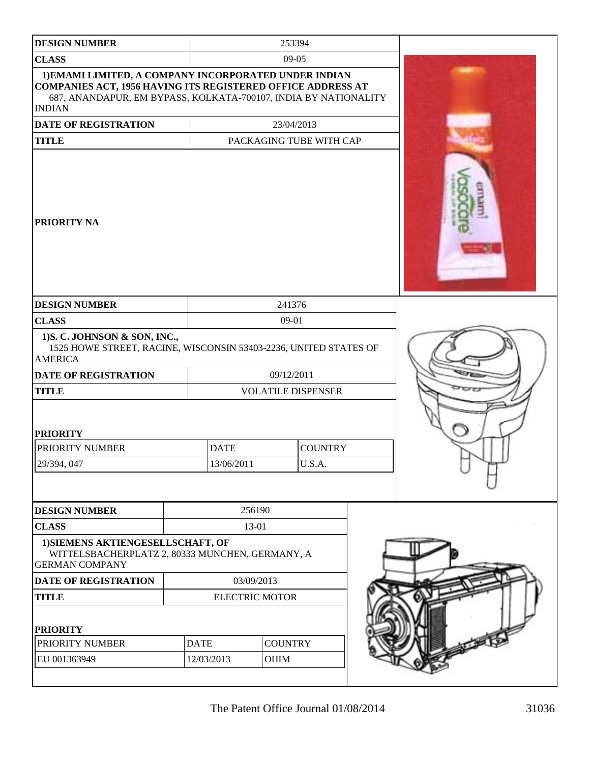| <b>DESIGN NUMBER</b><br><b>CLASS</b><br>1) EMAMI LIMITED, A COMPANY INCORPORATED UNDER INDIAN<br>COMPANIES ACT, 1956 HAVING ITS REGISTERED OFFICE ADDRESS AT<br>687, ANANDAPUR, EM BYPASS, KOLKATA-700107, INDIA BY NATIONALITY |                           |                           | 253394                   |  |  |
|---------------------------------------------------------------------------------------------------------------------------------------------------------------------------------------------------------------------------------|---------------------------|---------------------------|--------------------------|--|--|
|                                                                                                                                                                                                                                 |                           |                           |                          |  |  |
|                                                                                                                                                                                                                                 |                           |                           | $09-05$                  |  |  |
| <b>INDIAN</b>                                                                                                                                                                                                                   |                           |                           |                          |  |  |
| <b>DATE OF REGISTRATION</b>                                                                                                                                                                                                     |                           |                           | 23/04/2013               |  |  |
| <b>TITLE</b>                                                                                                                                                                                                                    |                           |                           | PACKAGING TUBE WITH CAP  |  |  |
| <b>PRIORITY NA</b>                                                                                                                                                                                                              |                           |                           |                          |  |  |
| <b>DESIGN NUMBER</b>                                                                                                                                                                                                            |                           |                           | 241376                   |  |  |
| <b>CLASS</b>                                                                                                                                                                                                                    |                           |                           | 09-01                    |  |  |
| 1) S. C. JOHNSON & SON, INC.,<br>1525 HOWE STREET, RACINE, WISCONSIN 53403-2236, UNITED STATES OF<br><b>AMERICA</b><br><b>DATE OF REGISTRATION</b>                                                                              |                           |                           | 09/12/2011               |  |  |
| <b>TITLE</b>                                                                                                                                                                                                                    |                           | <b>VOLATILE DISPENSER</b> |                          |  |  |
| <b>PRIORITY</b><br>PRIORITY NUMBER<br>29/394, 047                                                                                                                                                                               | <b>DATE</b><br>13/06/2011 |                           | <b>COUNTRY</b><br>U.S.A. |  |  |
| <b>DESIGN NUMBER</b>                                                                                                                                                                                                            |                           | 256190                    |                          |  |  |
| <b>CLASS</b>                                                                                                                                                                                                                    |                           | 13-01                     |                          |  |  |
| 1) SIEMENS AKTIENGESELLSCHAFT, OF<br>WITTELSBACHERPLATZ 2, 80333 MUNCHEN, GERMANY, A<br><b>GERMAN COMPANY</b>                                                                                                                   |                           |                           |                          |  |  |
| DATE OF REGISTRATION                                                                                                                                                                                                            |                           | 03/09/2013                |                          |  |  |
| <b>TITLE</b>                                                                                                                                                                                                                    |                           | <b>ELECTRIC MOTOR</b>     |                          |  |  |
| <b>PRIORITY</b>                                                                                                                                                                                                                 |                           |                           |                          |  |  |
| PRIORITY NUMBER                                                                                                                                                                                                                 | <b>DATE</b>               |                           | <b>COUNTRY</b>           |  |  |
| EU 001363949                                                                                                                                                                                                                    | 12/03/2013                |                           | OHIM                     |  |  |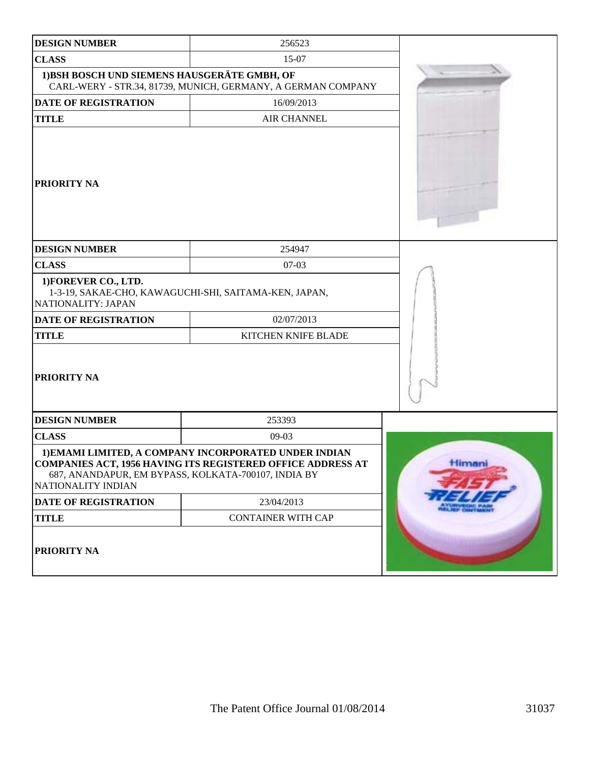| <b>DESIGN NUMBER</b>                                                                                         | 256523                                                                                                                                                                      |        |
|--------------------------------------------------------------------------------------------------------------|-----------------------------------------------------------------------------------------------------------------------------------------------------------------------------|--------|
| <b>CLASS</b>                                                                                                 | 15-07                                                                                                                                                                       |        |
| 1) BSH BOSCH UND SIEMENS HAUSGERÄTE GMBH, OF<br>CARL-WERY - STR.34, 81739, MUNICH, GERMANY, A GERMAN COMPANY |                                                                                                                                                                             |        |
| <b>DATE OF REGISTRATION</b>                                                                                  | 16/09/2013                                                                                                                                                                  |        |
| <b>TITLE</b><br><b>AIR CHANNEL</b>                                                                           |                                                                                                                                                                             |        |
| <b>PRIORITY NA</b>                                                                                           |                                                                                                                                                                             |        |
| <b>DESIGN NUMBER</b>                                                                                         | 254947                                                                                                                                                                      |        |
| <b>CLASS</b>                                                                                                 | $07-03$                                                                                                                                                                     |        |
| 1) FOREVER CO., LTD.<br>NATIONALITY: JAPAN                                                                   | 1-3-19, SAKAE-CHO, KAWAGUCHI-SHI, SAITAMA-KEN, JAPAN,                                                                                                                       |        |
| <b>DATE OF REGISTRATION</b>                                                                                  | 02/07/2013                                                                                                                                                                  |        |
| <b>TITLE</b>                                                                                                 | KITCHEN KNIFE BLADE                                                                                                                                                         |        |
| PRIORITY NA                                                                                                  |                                                                                                                                                                             |        |
| <b>DESIGN NUMBER</b>                                                                                         | 253393                                                                                                                                                                      |        |
| <b>CLASS</b>                                                                                                 | 09-03                                                                                                                                                                       |        |
| NATIONALITY INDIAN                                                                                           | 1) EMAMI LIMITED, A COMPANY INCORPORATED UNDER INDIAN<br>COMPANIES ACT, 1956 HAVING ITS REGISTERED OFFICE ADDRESS AT<br>687, ANANDAPUR, EM BYPASS, KOLKATA-700107, INDIA BY | Himani |
| DATE OF REGISTRATION                                                                                         | 23/04/2013                                                                                                                                                                  |        |
| <b>TITLE</b>                                                                                                 | <b>CONTAINER WITH CAP</b>                                                                                                                                                   |        |
| <b>PRIORITY NA</b>                                                                                           |                                                                                                                                                                             |        |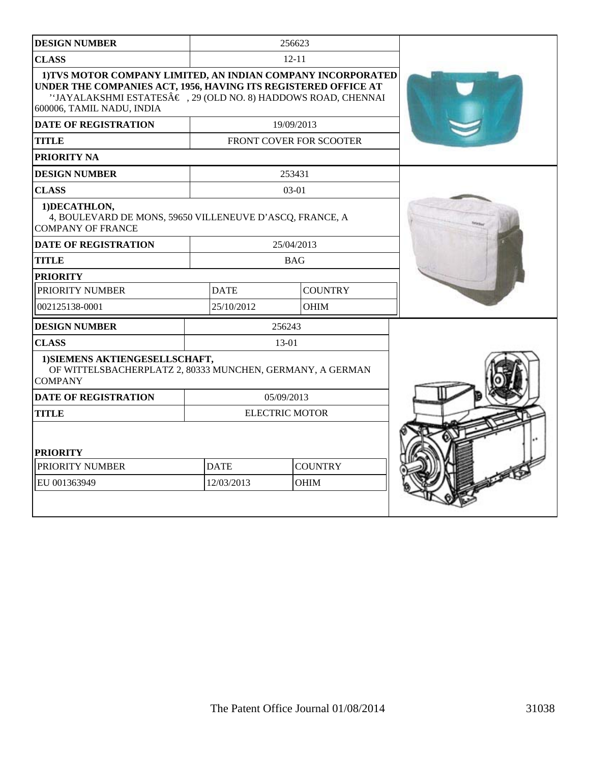| <b>DESIGN NUMBER</b>                                                                                                                                                                                                                    |                       | 256623                         |  |
|-----------------------------------------------------------------------------------------------------------------------------------------------------------------------------------------------------------------------------------------|-----------------------|--------------------------------|--|
| <b>CLASS</b>                                                                                                                                                                                                                            | $12 - 11$             |                                |  |
| 1) TVS MOTOR COMPANY LIMITED, AN INDIAN COMPANY INCORPORATED<br>UNDER THE COMPANIES ACT, 1956, HAVING ITS REGISTERED OFFICE AT<br>''JAYALAKSHMI ESTATESÂ $\epsilon$ , 29 (OLD NO. 8) HADDOWS ROAD, CHENNAI<br>600006, TAMIL NADU, INDIA |                       |                                |  |
| <b>DATE OF REGISTRATION</b>                                                                                                                                                                                                             | 19/09/2013            |                                |  |
| <b>TITLE</b>                                                                                                                                                                                                                            |                       | <b>FRONT COVER FOR SCOOTER</b> |  |
| PRIORITY NA                                                                                                                                                                                                                             |                       |                                |  |
| <b>DESIGN NUMBER</b>                                                                                                                                                                                                                    |                       | 253431                         |  |
| <b>CLASS</b>                                                                                                                                                                                                                            |                       | $03-01$                        |  |
| 1) DECATHLON,<br>4, BOULEVARD DE MONS, 59650 VILLENEUVE D'ASCQ, FRANCE, A<br><b>COMPANY OF FRANCE</b>                                                                                                                                   |                       |                                |  |
| <b>DATE OF REGISTRATION</b>                                                                                                                                                                                                             | 25/04/2013            |                                |  |
| <b>TITLE</b>                                                                                                                                                                                                                            | <b>BAG</b>            |                                |  |
| <b>PRIORITY</b>                                                                                                                                                                                                                         |                       |                                |  |
| PRIORITY NUMBER                                                                                                                                                                                                                         | <b>DATE</b>           | <b>COUNTRY</b>                 |  |
| 002125138-0001                                                                                                                                                                                                                          | 25/10/2012            | <b>OHIM</b>                    |  |
| <b>DESIGN NUMBER</b>                                                                                                                                                                                                                    |                       | 256243                         |  |
| <b>CLASS</b>                                                                                                                                                                                                                            | 13-01                 |                                |  |
| 1) SIEMENS AKTIENGESELLSCHAFT,<br>OF WITTELSBACHERPLATZ 2, 80333 MUNCHEN, GERMANY, A GERMAN<br><b>COMPANY</b>                                                                                                                           |                       |                                |  |
| <b>DATE OF REGISTRATION</b>                                                                                                                                                                                                             | 05/09/2013            |                                |  |
| <b>TITLE</b>                                                                                                                                                                                                                            | <b>ELECTRIC MOTOR</b> |                                |  |
| <b>PRIORITY</b>                                                                                                                                                                                                                         |                       |                                |  |
| PRIORITY NUMBER                                                                                                                                                                                                                         | <b>DATE</b>           | <b>COUNTRY</b>                 |  |
| EU 001363949                                                                                                                                                                                                                            | 12/03/2013            | <b>OHIM</b>                    |  |
|                                                                                                                                                                                                                                         |                       |                                |  |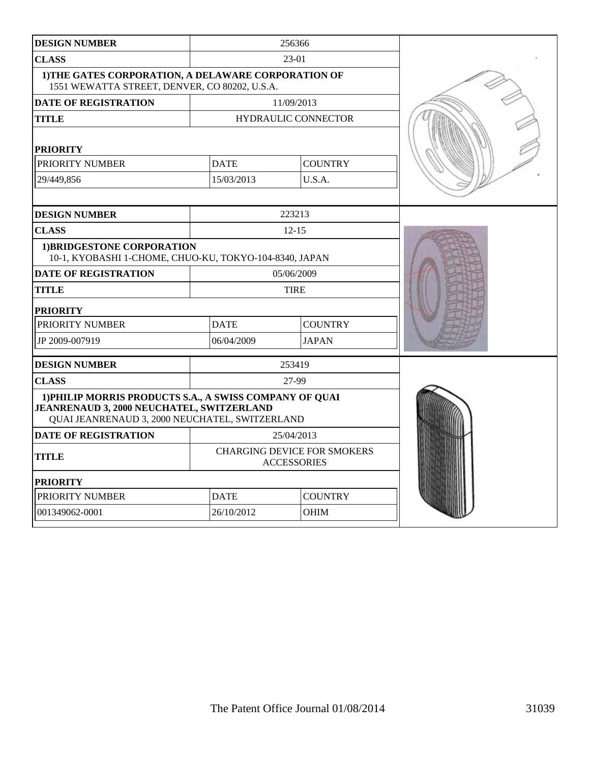| <b>DESIGN NUMBER</b>                                                                                                                                   | 256366                                                   |                |  |
|--------------------------------------------------------------------------------------------------------------------------------------------------------|----------------------------------------------------------|----------------|--|
| <b>CLASS</b>                                                                                                                                           |                                                          | 23-01          |  |
| 1) THE GATES CORPORATION, A DELAWARE CORPORATION OF<br>1551 WEWATTA STREET, DENVER, CO 80202, U.S.A.                                                   |                                                          |                |  |
| DATE OF REGISTRATION                                                                                                                                   | 11/09/2013                                               |                |  |
| <b>TITLE</b>                                                                                                                                           | <b>HYDRAULIC CONNECTOR</b>                               |                |  |
| <b>PRIORITY</b>                                                                                                                                        |                                                          |                |  |
| PRIORITY NUMBER                                                                                                                                        | <b>DATE</b>                                              | <b>COUNTRY</b> |  |
| 29/449,856                                                                                                                                             | 15/03/2013                                               | U.S.A.         |  |
|                                                                                                                                                        |                                                          |                |  |
| <b>DESIGN NUMBER</b>                                                                                                                                   | 223213                                                   |                |  |
| <b>CLASS</b>                                                                                                                                           |                                                          | $12 - 15$      |  |
| 1) BRIDGESTONE CORPORATION<br>10-1, KYOBASHI 1-CHOME, CHUO-KU, TOKYO-104-8340, JAPAN                                                                   |                                                          |                |  |
| <b>DATE OF REGISTRATION</b>                                                                                                                            | 05/06/2009                                               |                |  |
| <b>TITLE</b>                                                                                                                                           | <b>TIRE</b>                                              |                |  |
| <b>PRIORITY</b>                                                                                                                                        |                                                          |                |  |
| PRIORITY NUMBER                                                                                                                                        | <b>DATE</b>                                              | <b>COUNTRY</b> |  |
| JP 2009-007919                                                                                                                                         | 06/04/2009                                               | <b>JAPAN</b>   |  |
| <b>DESIGN NUMBER</b>                                                                                                                                   |                                                          | 253419         |  |
| <b>CLASS</b>                                                                                                                                           | 27-99                                                    |                |  |
| 1) PHILIP MORRIS PRODUCTS S.A., A SWISS COMPANY OF QUAI<br>JEANRENAUD 3, 2000 NEUCHATEL, SWITZERLAND<br>QUAI JEANRENAUD 3, 2000 NEUCHATEL, SWITZERLAND |                                                          |                |  |
| <b>DATE OF REGISTRATION</b>                                                                                                                            |                                                          | 25/04/2013     |  |
| <b>TITLE</b>                                                                                                                                           | <b>CHARGING DEVICE FOR SMOKERS</b><br><b>ACCESSORIES</b> |                |  |
| <b>PRIORITY</b>                                                                                                                                        |                                                          |                |  |
| PRIORITY NUMBER                                                                                                                                        | <b>DATE</b>                                              | <b>COUNTRY</b> |  |
| 001349062-0001                                                                                                                                         | 26/10/2012                                               | OHIM           |  |